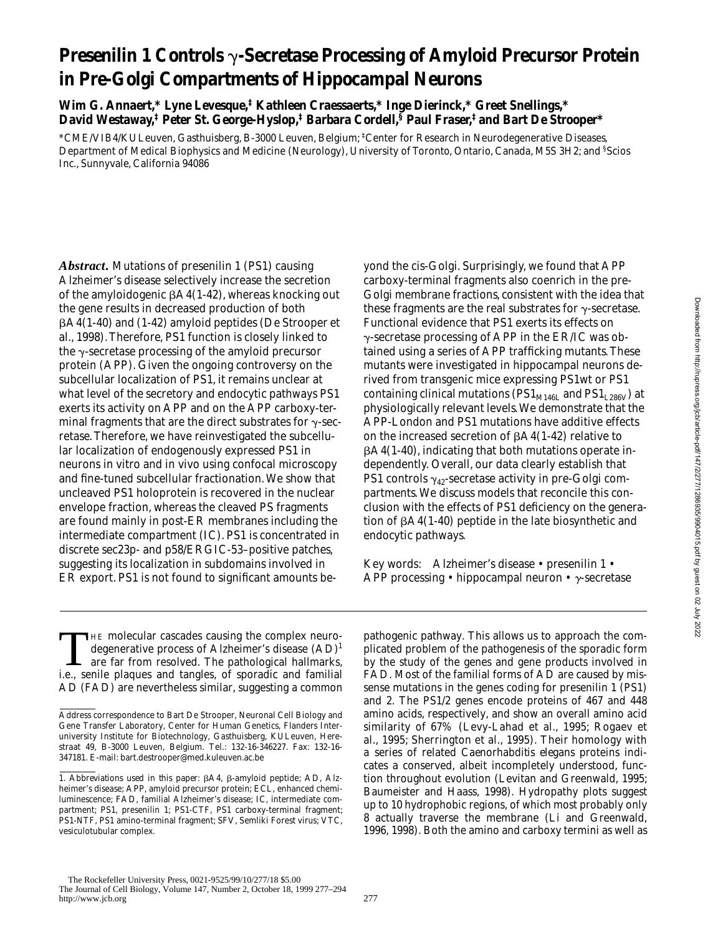# **Presenilin 1 Controls**  $\gamma$ **-Secretase Processing of Amyloid Precursor Protein in Pre-Golgi Compartments of Hippocampal Neurons**

**Wim G. Annaert,\* Lyne Levesque,‡ Kathleen Craessaerts,\* Inge Dierinck,\* Greet Snellings,\* David Westaway,‡ Peter St. George-Hyslop,‡ Barbara Cordell,§ Paul Fraser,‡ and Bart De Strooper\***

\*CME/VIB4/KULeuven, Gasthuisberg, B-3000 Leuven, Belgium; ‡ Center for Research in Neurodegenerative Diseases, Department of Medical Biophysics and Medicine (Neurology), University of Toronto, Ontario, Canada, M5S 3H2; and § Scios Inc., Sunnyvale, California 94086

*Abstract.* Mutations of presenilin 1 (PS1) causing Alzheimer's disease selectively increase the secretion of the amyloidogenic  $\beta$ A4(1-42), whereas knocking out the gene results in decreased production of both  $\beta$ A4(1-40) and (1-42) amyloid peptides (De Strooper et al., 1998). Therefore, PS1 function is closely linked to the  $\gamma$ -secretase processing of the amyloid precursor protein (APP). Given the ongoing controversy on the subcellular localization of PS1, it remains unclear at what level of the secretory and endocytic pathways PS1 exerts its activity on APP and on the APP carboxy-terminal fragments that are the direct substrates for  $\gamma$ -secretase. Therefore, we have reinvestigated the subcellular localization of endogenously expressed PS1 in neurons in vitro and in vivo using confocal microscopy and fine-tuned subcellular fractionation. We show that uncleaved PS1 holoprotein is recovered in the nuclear envelope fraction, whereas the cleaved PS fragments are found mainly in post-ER membranes including the intermediate compartment (IC). PS1 is concentrated in discrete sec23p- and p58/ERGIC-53–positive patches, suggesting its localization in subdomains involved in ER export. PS1 is not found to significant amounts beyond the cis-Golgi. Surprisingly, we found that APP carboxy-terminal fragments also coenrich in the pre-Golgi membrane fractions, consistent with the idea that these fragments are the real substrates for  $\gamma$ -secretase. Functional evidence that PS1 exerts its effects on  $\gamma$ -secretase processing of APP in the ER/IC was obtained using a series of APP trafficking mutants. These mutants were investigated in hippocampal neurons derived from transgenic mice expressing PS1wt or PS1 containing clinical mutations ( $PS1_{M146L}$  and  $PS1_{L286V}$ ) at physiologically relevant levels. We demonstrate that the APP-London and PS1 mutations have additive effects on the increased secretion of  $\beta$ A4(1-42) relative to  $\beta$ A4(1-40), indicating that both mutations operate independently. Overall, our data clearly establish that PS1 controls  $\gamma_{42}$ -secretase activity in pre-Golgi compartments. We discuss models that reconcile this conclusion with the effects of PS1 deficiency on the generation of  $\beta$ A4(1-40) peptide in the late biosynthetic and endocytic pathways.

Key words: Alzheimer's disease • presenilin 1 • APP processing • hippocampal neuron •  $\gamma$ -secretase

THE molecular cascades causing the complex neurodegenerative process of Alzheimer's disease (AD)1 are far from resolved. The pathological hallmarks, i.e., senile plaques and tangles, of sporadic and familial AD (FAD) are nevertheless similar, suggesting a common pathogenic pathway. This allows us to approach the complicated problem of the pathogenesis of the sporadic form by the study of the genes and gene products involved in FAD. Most of the familial forms of AD are caused by missense mutations in the genes coding for presenilin 1 (PS1) and 2. The PS1/2 genes encode proteins of 467 and 448 amino acids, respectively, and show an overall amino acid similarity of 67% (Levy-Lahad et al., 1995; Rogaev et al., 1995; Sherrington et al., 1995). Their homology with a series of related *Caenorhabditis elegans* proteins indicates a conserved, albeit incompletely understood, function throughout evolution (Levitan and Greenwald, 1995; Baumeister and Haass, 1998). Hydropathy plots suggest up to 10 hydrophobic regions, of which most probably only 8 actually traverse the membrane (Li and Greenwald, 1996, 1998). Both the amino and carboxy termini as well as

Address correspondence to Bart De Strooper, Neuronal Cell Biology and Gene Transfer Laboratory, Center for Human Genetics, Flanders Interuniversity Institute for Biotechnology, Gasthuisberg, KULeuven, Herestraat 49, B-3000 Leuven, Belgium. Tel.: 132-16-346227. Fax: 132-16- 347181. E-mail: bart.destrooper@med.kuleuven.ac.be

<sup>1.</sup> *Abbreviations used in this paper:* bA4, b-amyloid peptide; AD, Alzheimer's disease; APP, amyloid precursor protein; ECL, enhanced chemiluminescence; FAD, familial Alzheimer's disease; IC, intermediate compartment; PS1, presenilin 1; PS1-CTF, PS1 carboxy-terminal fragment; PS1-NTF, PS1 amino-terminal fragment; SFV, Semliki Forest virus; VTC, vesiculotubular complex.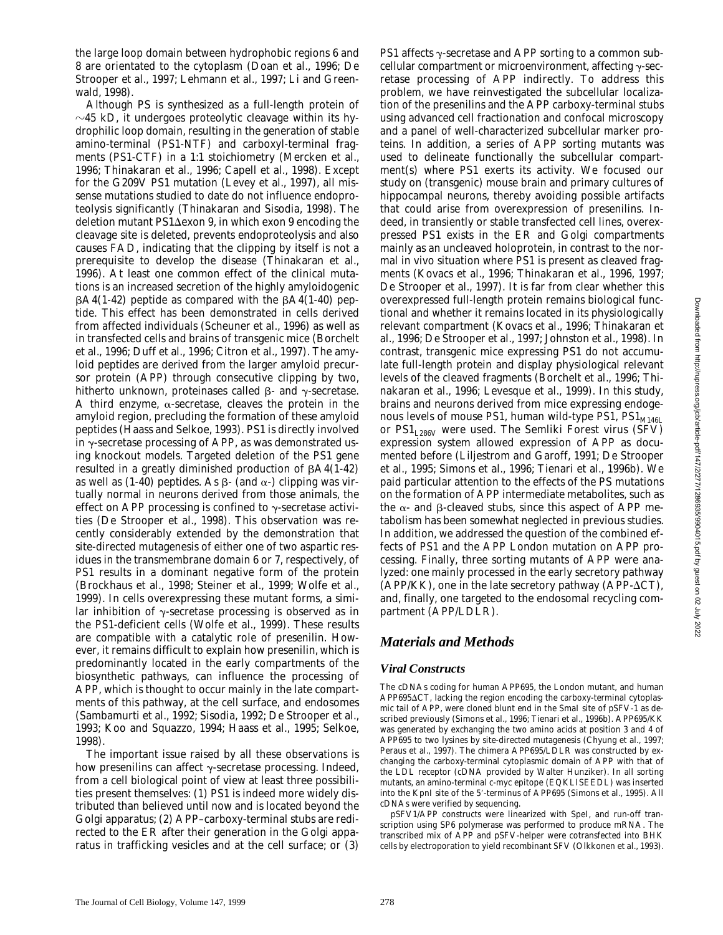the large loop domain between hydrophobic regions 6 and 8 are orientated to the cytoplasm (Doan et al., 1996; De Strooper et al., 1997; Lehmann et al., 1997; Li and Greenwald, 1998).

Although PS is synthesized as a full-length protein of  $\sim$ 45 kD, it undergoes proteolytic cleavage within its hydrophilic loop domain, resulting in the generation of stable amino-terminal (PS1-NTF) and carboxyl-terminal fragments (PS1-CTF) in a 1:1 stoichiometry (Mercken et al., 1996; Thinakaran et al., 1996; Capell et al., 1998). Except for the G209V PS1 mutation (Levey et al., 1997), all missense mutations studied to date do not influence endoproteolysis significantly (Thinakaran and Sisodia, 1998). The deletion mutant PS1 $\Delta$ exon 9, in which exon 9 encoding the cleavage site is deleted, prevents endoproteolysis and also causes FAD, indicating that the clipping by itself is not a prerequisite to develop the disease (Thinakaran et al., 1996). At least one common effect of the clinical mutations is an increased secretion of the highly amyloidogenic  $\beta$ A4(1-42) peptide as compared with the  $\beta$ A4(1-40) peptide. This effect has been demonstrated in cells derived from affected individuals (Scheuner et al., 1996) as well as in transfected cells and brains of transgenic mice (Borchelt et al., 1996; Duff et al., 1996; Citron et al., 1997). The amyloid peptides are derived from the larger amyloid precursor protein (APP) through consecutive clipping by two, hitherto unknown, proteinases called  $\beta$ - and  $\gamma$ -secretase. A third enzyme,  $\alpha$ -secretase, cleaves the protein in the amyloid region, precluding the formation of these amyloid peptides (Haass and Selkoe, 1993). PS1 is directly involved in  $\gamma$ -secretase processing of APP, as was demonstrated using knockout models. Targeted deletion of the PS1 gene resulted in a greatly diminished production of  $\beta$ A4(1-42) as well as (1-40) peptides. As  $\beta$ - (and  $\alpha$ -) clipping was virtually normal in neurons derived from those animals, the effect on APP processing is confined to  $\gamma$ -secretase activities (De Strooper et al., 1998). This observation was recently considerably extended by the demonstration that site-directed mutagenesis of either one of two aspartic residues in the transmembrane domain 6 or 7, respectively, of PS1 results in a dominant negative form of the protein (Brockhaus et al., 1998; Steiner et al., 1999; Wolfe et al., 1999). In cells overexpressing these mutant forms, a similar inhibition of  $\gamma$ -secretase processing is observed as in the PS1-deficient cells (Wolfe et al., 1999). These results are compatible with a catalytic role of presenilin. However, it remains difficult to explain how presenilin, which is predominantly located in the early compartments of the biosynthetic pathways, can influence the processing of APP, which is thought to occur mainly in the late compartments of this pathway, at the cell surface, and endosomes (Sambamurti et al., 1992; Sisodia, 1992; De Strooper et al., 1993; Koo and Squazzo, 1994; Haass et al., 1995; Selkoe, 1998).

The important issue raised by all these observations is how presenilins can affect  $\gamma$ -secretase processing. Indeed, from a cell biological point of view at least three possibilities present themselves: (1) PS1 is indeed more widely distributed than believed until now and is located beyond the Golgi apparatus; (2) APP–carboxy-terminal stubs are redirected to the ER after their generation in the Golgi apparatus in trafficking vesicles and at the cell surface; or (3)

PS1 affects  $\gamma$ -secretase and APP sorting to a common subcellular compartment or microenvironment, affecting  $\gamma$ -secretase processing of APP indirectly. To address this problem, we have reinvestigated the subcellular localization of the presenilins and the APP carboxy-terminal stubs using advanced cell fractionation and confocal microscopy and a panel of well-characterized subcellular marker proteins. In addition, a series of APP sorting mutants was used to delineate functionally the subcellular compartment(s) where PS1 exerts its activity. We focused our study on (transgenic) mouse brain and primary cultures of hippocampal neurons, thereby avoiding possible artifacts that could arise from overexpression of presenilins. Indeed, in transiently or stable transfected cell lines, overexpressed PS1 exists in the ER and Golgi compartments mainly as an uncleaved holoprotein, in contrast to the normal in vivo situation where PS1 is present as cleaved fragments (Kovacs et al., 1996; Thinakaran et al., 1996, 1997; De Strooper et al., 1997). It is far from clear whether this overexpressed full-length protein remains biological functional and whether it remains located in its physiologically relevant compartment (Kovacs et al., 1996; Thinakaran et al., 1996; De Strooper et al., 1997; Johnston et al., 1998). In contrast, transgenic mice expressing PS1 do not accumulate full-length protein and display physiological relevant levels of the cleaved fragments (Borchelt et al., 1996; Thinakaran et al., 1996; Levesque et al., 1999). In this study, brains and neurons derived from mice expressing endogenous levels of mouse PS1, human wild-type PS1, PS1<sub>M146L</sub> or  $PS1_{1.286V}$  were used. The Semliki Forest virus (SFV) expression system allowed expression of APP as documented before (Liljestrom and Garoff, 1991; De Strooper et al., 1995; Simons et al., 1996; Tienari et al., 1996b). We paid particular attention to the effects of the PS mutations on the formation of APP intermediate metabolites, such as the  $\alpha$ - and  $\beta$ -cleaved stubs, since this aspect of APP metabolism has been somewhat neglected in previous studies. In addition, we addressed the question of the combined effects of PS1 and the APP London mutation on APP processing. Finally, three sorting mutants of APP were analyzed: one mainly processed in the early secretory pathway  $(APP/KK)$ , one in the late secretory pathway  $(APP-\Delta CT)$ , and, finally, one targeted to the endosomal recycling compartment (APP/LDLR).

## *Materials and Methods*

#### *Viral Constructs*

The cDNAs coding for human APP695, the London mutant, and human  $APP695\Delta CT$ , lacking the region encoding the carboxy-terminal cytoplasmic tail of APP, were cloned blunt end in the SmaI site of pSFV-1 as described previously (Simons et al., 1996; Tienari et al., 1996b). APP695/KK was generated by exchanging the two amino acids at position 3 and 4 of APP695 to two lysines by site-directed mutagenesis (Chyung et al., 1997; Peraus et al., 1997). The chimera APP695/LDLR was constructed by exchanging the carboxy-terminal cytoplasmic domain of APP with that of the LDL receptor (cDNA provided by Walter Hunziker). In all sorting mutants, an amino-terminal c-myc epitope (EQKLISEEDL) was inserted into the KpnI site of the 5'-terminus of APP695 (Simons et al., 1995). All cDNAs were verified by sequencing.

pSFV1/APP constructs were linearized with SpeI, and run-off transcription using SP6 polymerase was performed to produce mRNA. The transcribed mix of APP and pSFV-helper were cotransfected into BHK cells by electroporation to yield recombinant SFV (Olkkonen et al., 1993).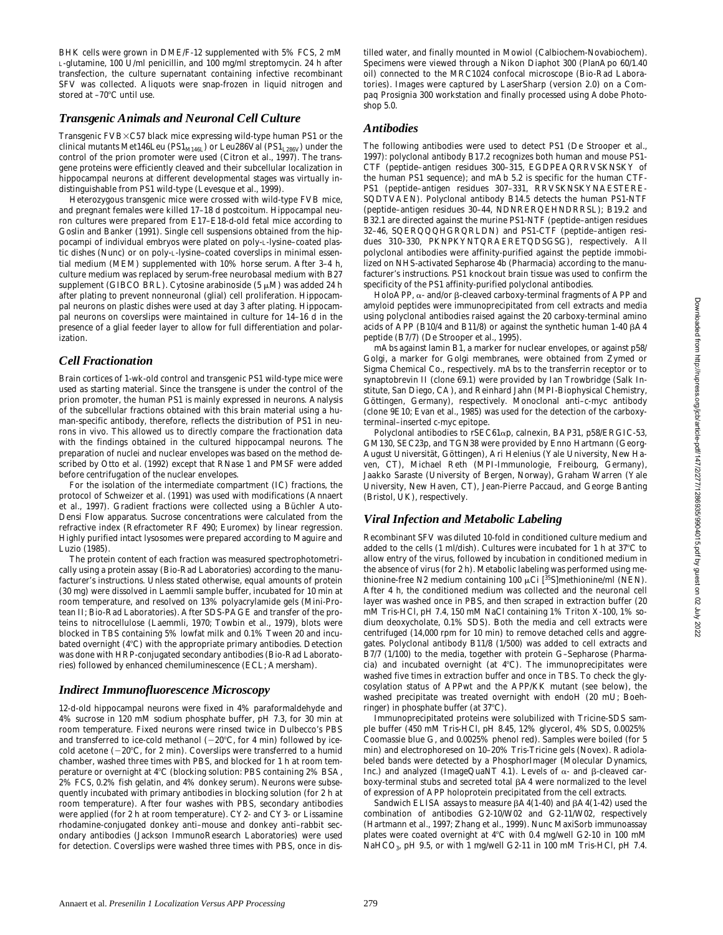BHK cells were grown in DME/F-12 supplemented with 5% FCS, 2 mM L-glutamine, 100 U/ml penicillin, and 100 mg/ml streptomycin. 24 h after transfection, the culture supernatant containing infective recombinant SFV was collected. Aliquots were snap-frozen in liquid nitrogen and stored at  $-70^{\circ}$ C until use.

### *Transgenic Animals and Neuronal Cell Culture*

Transgenic FVB×C57 black mice expressing wild-type human PS1 or the clinical mutants Met146Leu (PS1 $_{\text{M146L}}$ ) or Leu286Val (PS1 $_{\text{L286V}}$ ) under the control of the prion promoter were used (Citron et al., 1997). The transgene proteins were efficiently cleaved and their subcellular localization in hippocampal neurons at different developmental stages was virtually indistinguishable from PS1 wild-type (Levesque et al., 1999).

Heterozygous transgenic mice were crossed with wild-type FVB mice, and pregnant females were killed 17–18 d postcoitum. Hippocampal neuron cultures were prepared from E17–E18-d-old fetal mice according to Goslin and Banker (1991). Single cell suspensions obtained from the hippocampi of individual embryos were plated on poly-L-lysine–coated plastic dishes (Nunc) or on poly-L-lysine–coated coverslips in minimal essential medium (MEM) supplemented with 10% horse serum. After 3–4 h, culture medium was replaced by serum-free neurobasal medium with B27 supplement (GIBCO BRL). Cytosine arabinoside (5  $\mu$ M) was added 24 h after plating to prevent nonneuronal (glial) cell proliferation. Hippocampal neurons on plastic dishes were used at day 3 after plating. Hippocampal neurons on coverslips were maintained in culture for 14–16 d in the presence of a glial feeder layer to allow for full differentiation and polarization.

## *Cell Fractionation*

Brain cortices of 1-wk-old control and transgenic PS1 wild-type mice were used as starting material. Since the transgene is under the control of the prion promoter, the human PS1 is mainly expressed in neurons. Analysis of the subcellular fractions obtained with this brain material using a human-specific antibody, therefore, reflects the distribution of PS1 in neurons in vivo. This allowed us to directly compare the fractionation data with the findings obtained in the cultured hippocampal neurons. The preparation of nuclei and nuclear envelopes was based on the method described by Otto et al. (1992) except that RNase 1 and PMSF were added before centrifugation of the nuclear envelopes.

For the isolation of the intermediate compartment (IC) fractions, the protocol of Schweizer et al. (1991) was used with modifications (Annaert et al., 1997). Gradient fractions were collected using a Büchler Auto-Densi Flow apparatus. Sucrose concentrations were calculated from the refractive index (Refractometer RF 490; Euromex) by linear regression. Highly purified intact lysosomes were prepared according to Maguire and Luzio (1985).

The protein content of each fraction was measured spectrophotometrically using a protein assay (Bio-Rad Laboratories) according to the manufacturer's instructions. Unless stated otherwise, equal amounts of protein (30 mg) were dissolved in Laemmli sample buffer, incubated for 10 min at room temperature, and resolved on 13% polyacrylamide gels (Mini-Protean II; Bio-Rad Laboratories). After SDS-PAGE and transfer of the proteins to nitrocellulose (Laemmli, 1970; Towbin et al., 1979), blots were blocked in TBS containing 5% lowfat milk and 0.1% Tween 20 and incubated overnight  $(4^{\circ}C)$  with the appropriate primary antibodies. Detection was done with HRP-conjugated secondary antibodies (Bio-Rad Laboratories) followed by enhanced chemiluminescence (ECL; Amersham).

## *Indirect Immunofluorescence Microscopy*

12-d-old hippocampal neurons were fixed in 4% paraformaldehyde and 4% sucrose in 120 mM sodium phosphate buffer, pH 7.3, for 30 min at room temperature. Fixed neurons were rinsed twice in Dulbecco's PBS and transferred to ice-cold methanol  $(-20^{\circ}C,$  for 4 min) followed by icecold acetone  $(-20^{\circ}C,$  for 2 min). Coverslips were transferred to a humid chamber, washed three times with PBS, and blocked for 1 h at room temperature or overnight at 4°C (blocking solution: PBS containing 2% BSA, 2% FCS, 0.2% fish gelatin, and 4% donkey serum). Neurons were subsequently incubated with primary antibodies in blocking solution (for 2 h at room temperature). After four washes with PBS, secondary antibodies were applied (for 2 h at room temperature). CY2- and CY3- or Lissamine rhodamine-conjugated donkey anti–mouse and donkey anti–rabbit secondary antibodies (Jackson ImmunoResearch Laboratories) were used for detection. Coverslips were washed three times with PBS, once in distilled water, and finally mounted in Mowiol (Calbiochem-Novabiochem). Specimens were viewed through a Nikon Diaphot 300 (PlanApo 60/1.40 oil) connected to the MRC1024 confocal microscope (Bio-Rad Laboratories). Images were captured by LaserSharp (version 2.0) on a Compaq Prosignia 300 workstation and finally processed using Adobe Photoshop 5.0.

#### *Antibodies*

The following antibodies were used to detect PS1 (De Strooper et al., 1997): polyclonal antibody B17.2 recognizes both human and mouse PS1- CTF (peptide–antigen residues 300–315, EGDPEAQRRVSKNSKY of the human PS1 sequence); and mAb 5.2 is specific for the human CTF-PS1 (peptide–antigen residues 307–331, RRVSKNSKYNAESTERE-SQDTVAEN). Polyclonal antibody B14.5 detects the human PS1-NTF (peptide–antigen residues 30–44, NDNRERQEHNDRRSL); B19.2 and B32.1 are directed against the murine PS1-NTF (peptide–antigen residues 32–46, SQERQQQHGRQRLDN) and PS1-CTF (peptide–antigen residues 310–330, PKNPKYNTQRAERETQDSGSG), respectively. All polyclonal antibodies were affinity-purified against the peptide immobilized on NHS-activated Sepharose 4b (Pharmacia) according to the manufacturer's instructions. PS1 knockout brain tissue was used to confirm the specificity of the PS1 affinity-purified polyclonal antibodies.

HoloAPP,  $\alpha$ - and/or  $\beta$ -cleaved carboxy-terminal fragments of APP and amyloid peptides were immunoprecipitated from cell extracts and media using polyclonal antibodies raised against the 20 carboxy-terminal amino acids of APP (B10/4 and B11/8) or against the synthetic human 1-40  $\beta$ A4 peptide (B7/7) (De Strooper et al., 1995).

mAbs against lamin B1, a marker for nuclear envelopes, or against p58/ Golgi, a marker for Golgi membranes, were obtained from Zymed or Sigma Chemical Co., respectively. mAbs to the transferrin receptor or to synaptobrevin II (clone 69.1) were provided by Ian Trowbridge (Salk Institute, San Diego, CA), and Reinhard Jahn (MPI-Biophysical Chemistry, Göttingen, Germany), respectively. Monoclonal anti–c-myc antibody (clone 9E10; Evan et al., 1985) was used for the detection of the carboxyterminal–inserted c-myc epitope.

Polyclonal antibodies to rSEC61ap, calnexin, BAP31, p58/ERGIC-53, GM130, SEC23p, and TGN38 were provided by Enno Hartmann (Georg-August Universität, Göttingen), Ari Helenius (Yale University, New Haven, CT), Michael Reth (MPI-Immunologie, Freibourg, Germany), Jaakko Saraste (University of Bergen, Norway), Graham Warren (Yale University, New Haven, CT), Jean-Pierre Paccaud, and George Banting (Bristol, UK), respectively.

#### *Viral Infection and Metabolic Labeling*

Recombinant SFV was diluted 10-fold in conditioned culture medium and added to the cells (1 ml/dish). Cultures were incubated for 1 h at  $37^{\circ}$ C to allow entry of the virus, followed by incubation in conditioned medium in the absence of virus (for 2 h). Metabolic labeling was performed using methionine-free N2 medium containing 100  $\mu$ Ci [<sup>35</sup>S]methionine/ml (NEN). After 4 h, the conditioned medium was collected and the neuronal cell layer was washed once in PBS, and then scraped in extraction buffer (20 mM Tris-HCl, pH 7.4, 150 mM NaCl containing 1% Triton X-100, 1% sodium deoxycholate, 0.1% SDS). Both the media and cell extracts were centrifuged (14,000 rpm for 10 min) to remove detached cells and aggregates. Polyclonal antibody B11/8 (1/500) was added to cell extracts and B7/7 (1/100) to the media, together with protein G–Sepharose (Pharmacia) and incubated overnight (at  $4^{\circ}$ C). The immunoprecipitates were washed five times in extraction buffer and once in TBS. To check the glycosylation status of APPwt and the APP/KK mutant (see below), the washed precipitate was treated overnight with endoH (20 mU; Boehringer) in phosphate buffer (at 37°C).

Immunoprecipitated proteins were solubilized with Tricine-SDS sample buffer (450 mM Tris-HCl, pH 8.45, 12% glycerol, 4% SDS, 0.0025% Coomassie blue G, and 0.0025% phenol red). Samples were boiled (for 5 min) and electrophoresed on 10–20% Tris-Tricine gels (Novex). Radiolabeled bands were detected by a PhosphorImager (Molecular Dynamics, Inc.) and analyzed (ImageQuaNT 4.1). Levels of  $\alpha$ - and  $\beta$ -cleaved carboxy-terminal stubs and secreted total  $\beta A4$  were normalized to the level of expression of APP holoprotein precipitated from the cell extracts.

Sandwich ELISA assays to measure  $\beta A4(1-40)$  and  $\beta A4(1-42)$  used the combination of antibodies G2-10/W02 and G2-11/W02, respectively (Hartmann et al., 1997; Zhang et al., 1999). Nunc MaxiSorb immunoassay plates were coated overnight at  $4^{\circ}$ C with 0.4 mg/well G2-10 in 100 mM NaHCO<sub>3</sub>, pH 9.5, or with 1 mg/well G2-11 in 100 mM Tris-HCl, pH 7.4.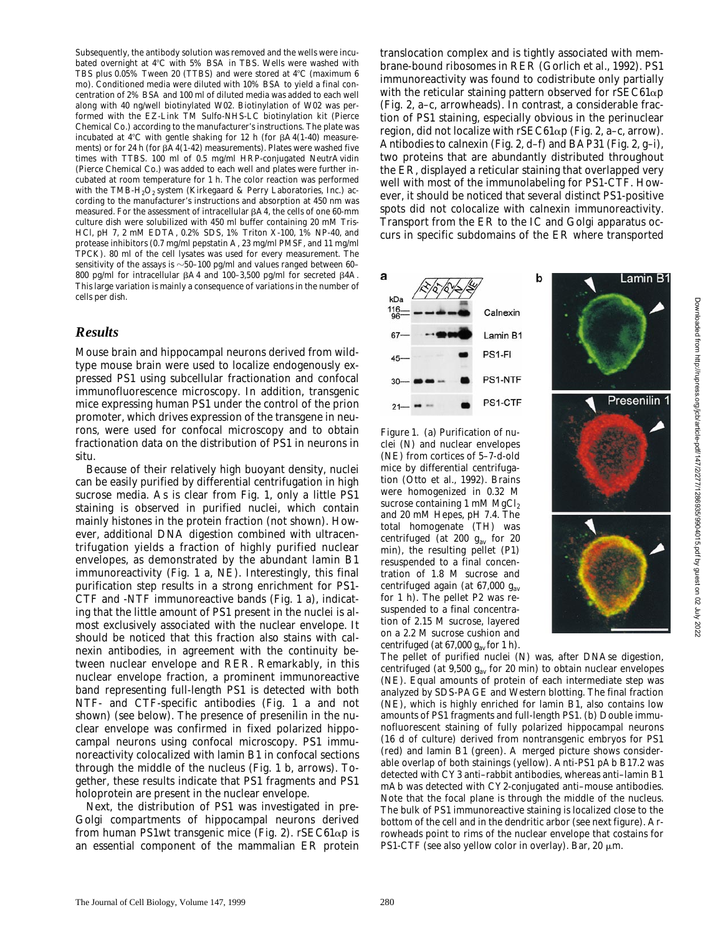Subsequently, the antibody solution was removed and the wells were incubated overnight at 4°C with 5% BSA in TBS. Wells were washed with TBS plus  $0.05\%$  Tween 20 (TTBS) and were stored at  $4^{\circ}$ C (maximum 6 mo). Conditioned media were diluted with 10% BSA to yield a final concentration of 2% BSA and 100 ml of diluted media was added to each well along with 40 ng/well biotinylated W02. Biotinylation of W02 was performed with the EZ-Link TM Sulfo-NHS-LC biotinylation kit (Pierce Chemical Co.) according to the manufacturer's instructions. The plate was incubated at  $4^{\circ}$ C with gentle shaking for 12 h (for  $\beta$ A4(1-40) measurements) or for 24 h (for  $\beta$ A4(1-42) measurements). Plates were washed five times with TTBS. 100 ml of 0.5 mg/ml HRP-conjugated NeutrAvidin (Pierce Chemical Co.) was added to each well and plates were further incubated at room temperature for 1 h. The color reaction was performed with the TMB-H<sub>2</sub>O<sub>2</sub> system (Kirkegaard & Perry Laboratories, Inc.) according to the manufacturer's instructions and absorption at 450 nm was measured. For the assessment of intracellular  $\beta A4$ , the cells of one 60-mm culture dish were solubilized with 450 ml buffer containing 20 mM Tris-HCl, pH 7, 2 mM EDTA, 0.2% SDS, 1% Triton X-100, 1% NP-40, and protease inhibitors (0.7 mg/ml pepstatin A, 23 mg/ml PMSF, and 11 mg/ml TPCK). 80 ml of the cell lysates was used for every measurement. The sensitivity of the assays is  $\sim$  50–100 pg/ml and values ranged between 60– 800 pg/ml for intracellular  $\beta$ A4 and 100–3,500 pg/ml for secreted  $\beta$ 4A. This large variation is mainly a consequence of variations in the number of cells per dish.

#### *Results*

Mouse brain and hippocampal neurons derived from wildtype mouse brain were used to localize endogenously expressed PS1 using subcellular fractionation and confocal immunofluorescence microscopy. In addition, transgenic mice expressing human PS1 under the control of the prion promoter, which drives expression of the transgene in neurons, were used for confocal microscopy and to obtain fractionation data on the distribution of PS1 in neurons in situ.

Because of their relatively high buoyant density, nuclei can be easily purified by differential centrifugation in high sucrose media. As is clear from Fig. 1, only a little PS1 staining is observed in purified nuclei, which contain mainly histones in the protein fraction (not shown). However, additional DNA digestion combined with ultracentrifugation yields a fraction of highly purified nuclear envelopes, as demonstrated by the abundant lamin B1 immunoreactivity (Fig. 1 a, NE). Interestingly, this final purification step results in a strong enrichment for PS1- CTF and -NTF immunoreactive bands (Fig. 1 a), indicating that the little amount of PS1 present in the nuclei is almost exclusively associated with the nuclear envelope. It should be noticed that this fraction also stains with calnexin antibodies, in agreement with the continuity between nuclear envelope and RER. Remarkably, in this nuclear envelope fraction, a prominent immunoreactive band representing full-length PS1 is detected with both NTF- and CTF-specific antibodies (Fig. 1 a and not shown) (see below). The presence of presenilin in the nuclear envelope was confirmed in fixed polarized hippocampal neurons using confocal microscopy. PS1 immunoreactivity colocalized with lamin B1 in confocal sections through the middle of the nucleus (Fig. 1 b, arrows). Together, these results indicate that PS1 fragments and PS1 holoprotein are present in the nuclear envelope.

Next, the distribution of PS1 was investigated in pre-Golgi compartments of hippocampal neurons derived from human PS1wt transgenic mice (Fig. 2).  $r$ SEC61 $\alpha$ p is an essential component of the mammalian ER protein

translocation complex and is tightly associated with membrane-bound ribosomes in RER (Gorlich et al., 1992). PS1 immunoreactivity was found to codistribute only partially with the reticular staining pattern observed for  $r$ SEC61 $\alpha$ p (Fig. 2, a–c, arrowheads). In contrast, a considerable fraction of PS1 staining, especially obvious in the perinuclear region, did not localize with  $r$ SEC61 $\alpha$ p (Fig. 2, a–c, arrow). Antibodies to calnexin (Fig. 2, d–f) and BAP31 (Fig. 2, g–i), two proteins that are abundantly distributed throughout the ER, displayed a reticular staining that overlapped very well with most of the immunolabeling for PS1-CTF. However, it should be noticed that several distinct PS1-positive spots did not colocalize with calnexin immunoreactivity. Transport from the ER to the IC and Golgi apparatus occurs in specific subdomains of the ER where transported

b

Calnexin

Lamin B1 PS1-FI PS1-NTF PS1-CTF

a

kDa

*Figure 1.* (a) Purification of nuclei (N) and nuclear envelopes (NE) from cortices of 5–7-d-old mice by differential centrifugation (Otto et al., 1992). Brains were homogenized in 0.32 M sucrose containing  $1 \text{ mM } MgCl<sub>2</sub>$ and 20 mM Hepes, pH 7.4. The total homogenate (TH) was centrifuged (at 200  $g_{av}$  for 20 min), the resulting pellet (P1) resuspended to a final concentration of 1.8 M sucrose and centrifuged again (at 67,000 *g*av for 1 h). The pellet P2 was resuspended to a final concentration of 2.15 M sucrose, layered on a 2.2 M sucrose cushion and centrifuged (at  $67,000 \, g<sub>av</sub>$  for 1 h).



Lamin B1

The pellet of purified nuclei (N) was, after DNAse digestion, centrifuged (at 9,500 *g*av for 20 min) to obtain nuclear envelopes (NE). Equal amounts of protein of each intermediate step was analyzed by SDS-PAGE and Western blotting. The final fraction (NE), which is highly enriched for lamin B1, also contains low amounts of PS1 fragments and full-length PS1. (b) Double immunofluorescent staining of fully polarized hippocampal neurons (16 d of culture) derived from nontransgenic embryos for PS1 (red) and lamin B1 (green). A merged picture shows considerable overlap of both stainings (yellow). Anti-PS1 pAb B17.2 was detected with CY3 anti–rabbit antibodies, whereas anti–lamin B1 mAb was detected with CY2-conjugated anti–mouse antibodies. Note that the focal plane is through the middle of the nucleus. The bulk of PS1 immunoreactive staining is localized close to the bottom of the cell and in the dendritic arbor (see next figure). Arrowheads point to rims of the nuclear envelope that costains for PS1-CTF (see also yellow color in overlay). Bar, 20  $\mu$ m.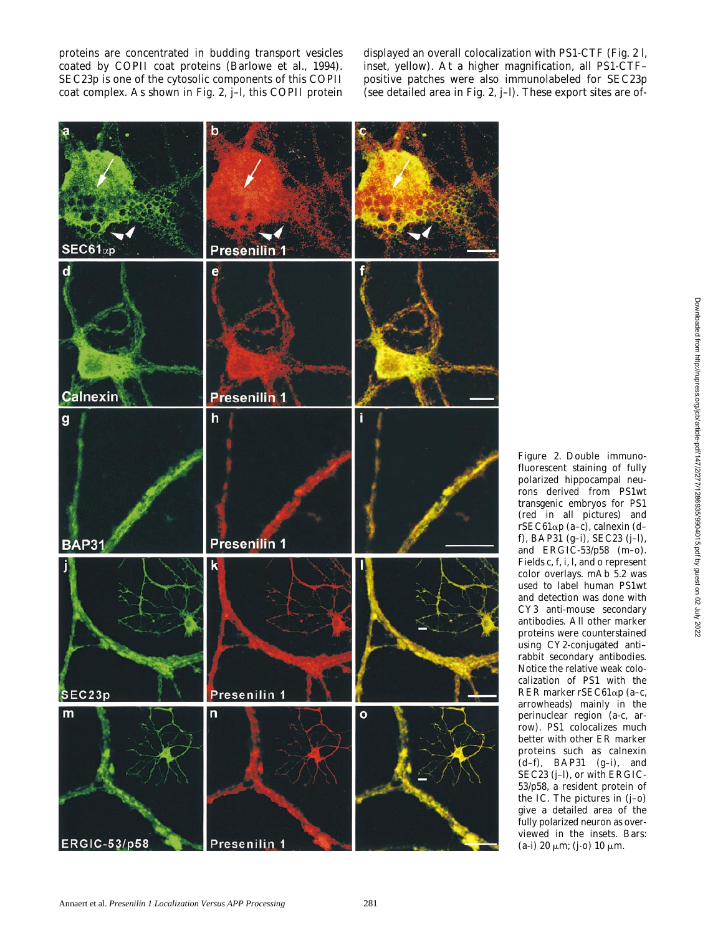proteins are concentrated in budding transport vesicles coated by COPII coat proteins (Barlowe et al., 1994). SEC23p is one of the cytosolic components of this COPII coat complex. As shown in Fig. 2, j–l, this COPII protein displayed an overall colocalization with PS1-CTF (Fig. 2 l, inset, yellow). At a higher magnification, all PS1-CTF– positive patches were also immunolabeled for SEC23p (see detailed area in Fig. 2, j–l). These export sites are of-



*Figure 2.* Double immunofluorescent staining of fully polarized hippocampal neurons derived from PS1wt transgenic embryos for PS1 (red in all pictures) and rSEC61ap (a–c), calnexin (d– f), BAP31 (g–i), SEC23 (j–l), and ERGIC-53/p58 (m–o). Fields c, f, i, l, and o represent color overlays. mAb 5.2 was used to label human PS1wt and detection was done with CY3 anti-mouse secondary antibodies. All other marker proteins were counterstained using CY2-conjugated anti– rabbit secondary antibodies. Notice the relative weak colocalization of PS1 with the RER marker rSEC61ap (a–c, arrowheads) mainly in the perinuclear region (a-c, arrow). PS1 colocalizes much better with other ER marker proteins such as calnexin (d–f), BAP31 (g–i), and SEC23 (j–l), or with ERGIC-53/p58, a resident protein of the IC. The pictures in (j–o) give a detailed area of the fully polarized neuron as overviewed in the insets. Bars: (a-i) 20  $\mu$ m; (j-o) 10  $\mu$ m.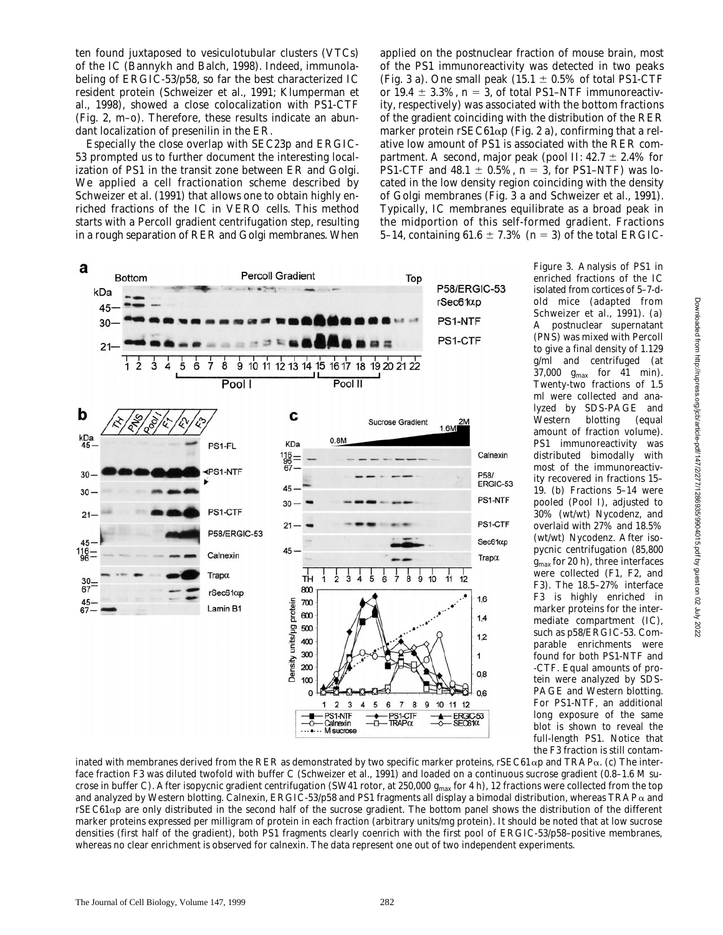ten found juxtaposed to vesiculotubular clusters (VTCs) of the IC (Bannykh and Balch, 1998). Indeed, immunolabeling of ERGIC-53/p58, so far the best characterized IC resident protein (Schweizer et al., 1991; Klumperman et al., 1998), showed a close colocalization with PS1-CTF (Fig. 2, m–o). Therefore, these results indicate an abundant localization of presenilin in the ER.

Especially the close overlap with SEC23p and ERGIC-53 prompted us to further document the interesting localization of PS1 in the transit zone between ER and Golgi. We applied a cell fractionation scheme described by Schweizer et al. (1991) that allows one to obtain highly enriched fractions of the IC in VERO cells. This method starts with a Percoll gradient centrifugation step, resulting in a rough separation of RER and Golgi membranes. When

applied on the postnuclear fraction of mouse brain, most of the PS1 immunoreactivity was detected in two peaks (Fig. 3 a). One small peak (15.1  $\pm$  0.5% of total PS1-CTF or 19.4  $\pm$  3.3%,  $n = 3$ , of total PS1–NTF immunoreactivity, respectively) was associated with the bottom fractions of the gradient coinciding with the distribution of the RER marker protein rSEC61 $\alpha$ p (Fig. 2 a), confirming that a relative low amount of PS1 is associated with the RER compartment. A second, major peak (pool II:  $42.7 \pm 2.4\%$  for PS1-CTF and  $48.1 \pm 0.5\%$ ,  $n = 3$ , for PS1-NTF) was located in the low density region coinciding with the density of Golgi membranes (Fig. 3 a and Schweizer et al., 1991). Typically, IC membranes equilibrate as a broad peak in the midportion of this self-formed gradient. Fractions 5–14, containing  $61.6 \pm 7.3\%$  ( $n = 3$ ) of the total ERGIC-



*Figure 3.* Analysis of PS1 in enriched fractions of the IC isolated from cortices of 5–7-dold mice (adapted from Schweizer et al., 1991). (a) A postnuclear supernatant (PNS) was mixed with Percoll to give a final density of 1.129 g/ml and centrifuged (at 37,000 *g*max for 41 min). Twenty-two fractions of 1.5 ml were collected and analyzed by SDS-PAGE and Western blotting (equal amount of fraction volume). PS1 immunoreactivity was distributed bimodally with most of the immunoreactivity recovered in fractions 15– 19. (b) Fractions 5–14 were pooled (Pool I), adjusted to 30% (wt/wt) Nycodenz, and overlaid with 27% and 18.5% (wt/wt) Nycodenz. After isopycnic centrifugation (85,800  $g<sub>max</sub>$  for 20 h), three interfaces were collected (F1, F2, and F3). The 18.5–27% interface F3 is highly enriched in marker proteins for the intermediate compartment (IC), such as p58/ERGIC-53. Comparable enrichments were found for both PS1-NTF and -CTF. Equal amounts of protein were analyzed by SDS-PAGE and Western blotting. For PS1-NTF, an additional long exposure of the same blot is shown to reveal the full-length PS1. Notice that the F3 fraction is still contam-

inated with membranes derived from the RER as demonstrated by two specific marker proteins, rSEC61 $\alpha$ p and TRAP $\alpha$ . (c) The interface fraction F3 was diluted twofold with buffer C (Schweizer et al., 1991) and loaded on a continuous sucrose gradient (0.8–1.6 M sucrose in buffer C). After isopycnic gradient centrifugation (SW41 rotor, at 250,000  $g_{\text{max}}$  for 4 h), 12 fractions were collected from the top and analyzed by Western blotting. Calnexin, ERGIC-53/p58 and PS1 fragments all display a bimodal distribution, whereas TRAP $\alpha$  and  $rSEC61\alpha p$  are only distributed in the second half of the sucrose gradient. The bottom panel shows the distribution of the different marker proteins expressed per milligram of protein in each fraction (arbitrary units/mg protein). It should be noted that at low sucrose densities (first half of the gradient), both PS1 fragments clearly coenrich with the first pool of ERGIC-53/p58–positive membranes, whereas no clear enrichment is observed for calnexin. The data represent one out of two independent experiments.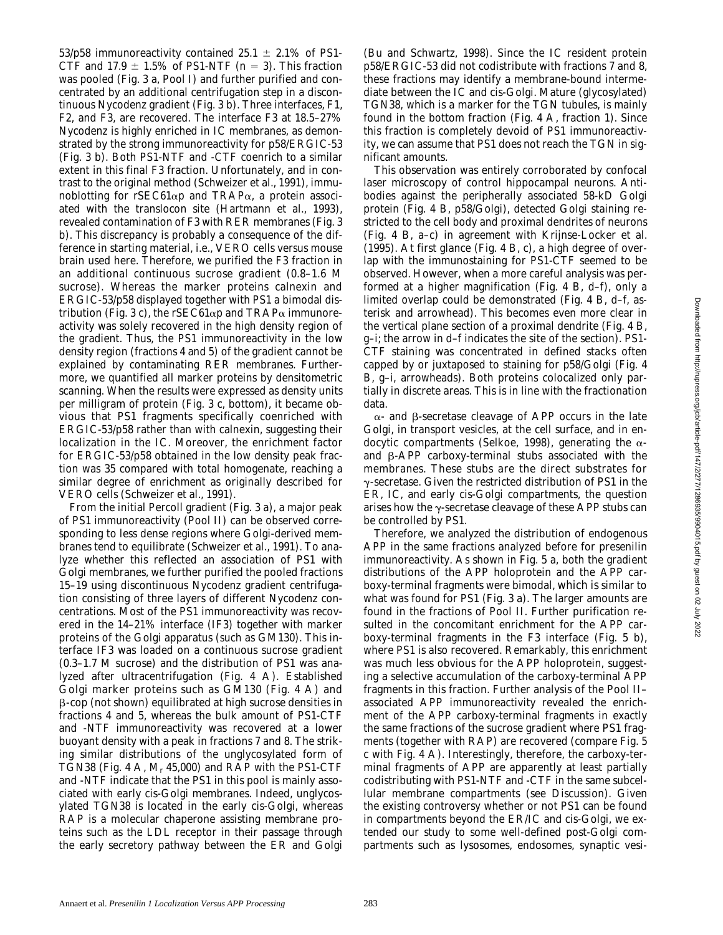53/p58 immunoreactivity contained 25.1  $\pm$  2.1% of PS1-CTF and  $17.9 \pm 1.5\%$  of PS1-NTF ( $n = 3$ ). This fraction was pooled (Fig. 3 a, Pool I) and further purified and concentrated by an additional centrifugation step in a discontinuous Nycodenz gradient (Fig. 3 b). Three interfaces, F1, F2, and F3, are recovered. The interface F3 at 18.5–27% Nycodenz is highly enriched in IC membranes, as demonstrated by the strong immunoreactivity for p58/ERGIC-53 (Fig. 3 b). Both PS1-NTF and -CTF coenrich to a similar extent in this final F3 fraction. Unfortunately, and in contrast to the original method (Schweizer et al., 1991), immunoblotting for rSEC61 $\alpha$ p and TRAP $\alpha$ , a protein associated with the translocon site (Hartmann et al., 1993), revealed contamination of F3 with RER membranes (Fig. 3 b). This discrepancy is probably a consequence of the difference in starting material, i.e., VERO cells versus mouse brain used here. Therefore, we purified the F3 fraction in an additional continuous sucrose gradient (0.8–1.6 M sucrose). Whereas the marker proteins calnexin and ERGIC-53/p58 displayed together with PS1 a bimodal distribution (Fig. 3 c), the rSEC61 $\alpha$ p and TRAP $\alpha$  immunoreactivity was solely recovered in the high density region of the gradient. Thus, the PS1 immunoreactivity in the low density region (fractions 4 and 5) of the gradient cannot be explained by contaminating RER membranes. Furthermore, we quantified all marker proteins by densitometric scanning. When the results were expressed as density units per milligram of protein (Fig. 3 c, bottom), it became obvious that PS1 fragments specifically coenriched with ERGIC-53/p58 rather than with calnexin, suggesting their localization in the IC. Moreover, the enrichment factor for ERGIC-53/p58 obtained in the low density peak fraction was 35 compared with total homogenate, reaching a similar degree of enrichment as originally described for VERO cells (Schweizer et al., 1991).

From the initial Percoll gradient (Fig. 3 a), a major peak of PS1 immunoreactivity (Pool II) can be observed corresponding to less dense regions where Golgi-derived membranes tend to equilibrate (Schweizer et al., 1991). To analyze whether this reflected an association of PS1 with Golgi membranes, we further purified the pooled fractions 15–19 using discontinuous Nycodenz gradient centrifugation consisting of three layers of different Nycodenz concentrations. Most of the PS1 immunoreactivity was recovered in the 14–21% interface (IF3) together with marker proteins of the Golgi apparatus (such as GM130). This interface IF3 was loaded on a continuous sucrose gradient (0.3–1.7 M sucrose) and the distribution of PS1 was analyzed after ultracentrifugation (Fig. 4 A). Established Golgi marker proteins such as GM130 (Fig. 4 A) and b-cop (not shown) equilibrated at high sucrose densities in fractions 4 and 5, whereas the bulk amount of PS1-CTF and -NTF immunoreactivity was recovered at a lower buoyant density with a peak in fractions 7 and 8. The striking similar distributions of the unglycosylated form of TGN38 (Fig. 4 A, *M*r 45,000) and RAP with the PS1-CTF and -NTF indicate that the PS1 in this pool is mainly associated with early cis-Golgi membranes. Indeed, unglycosylated TGN38 is located in the early cis-Golgi, whereas RAP is a molecular chaperone assisting membrane proteins such as the LDL receptor in their passage through the early secretory pathway between the ER and Golgi (Bu and Schwartz, 1998). Since the IC resident protein p58/ERGIC-53 did not codistribute with fractions 7 and 8, these fractions may identify a membrane-bound intermediate between the IC and cis-Golgi. Mature (glycosylated) TGN38, which is a marker for the TGN tubules, is mainly found in the bottom fraction (Fig. 4 A, fraction 1). Since this fraction is completely devoid of PS1 immunoreactivity, we can assume that PS1 does not reach the TGN in significant amounts.

This observation was entirely corroborated by confocal laser microscopy of control hippocampal neurons. Antibodies against the peripherally associated 58-kD Golgi protein (Fig. 4 B, p58/Golgi), detected Golgi staining restricted to the cell body and proximal dendrites of neurons (Fig. 4 B, a–c) in agreement with Krijnse-Locker et al. (1995). At first glance (Fig. 4 B, c), a high degree of overlap with the immunostaining for PS1-CTF seemed to be observed. However, when a more careful analysis was performed at a higher magnification (Fig. 4 B, d–f), only a limited overlap could be demonstrated (Fig. 4 B, d–f, asterisk and arrowhead). This becomes even more clear in the vertical plane section of a proximal dendrite (Fig. 4 B, g–i; the arrow in d–f indicates the site of the section). PS1- CTF staining was concentrated in defined stacks often capped by or juxtaposed to staining for p58/Golgi (Fig. 4 B, g–i, arrowheads). Both proteins colocalized only partially in discrete areas. This is in line with the fractionation data.

 $\alpha$ - and  $\beta$ -secretase cleavage of APP occurs in the late Golgi, in transport vesicles, at the cell surface, and in endocytic compartments (Selkoe, 1998), generating the  $\alpha$ and  $\beta$ -APP carboxy-terminal stubs associated with the membranes. These stubs are the direct substrates for  $\gamma$ -secretase. Given the restricted distribution of PS1 in the ER, IC, and early cis-Golgi compartments, the question arises how the  $\gamma$ -secretase cleavage of these APP stubs can be controlled by PS1.

Therefore, we analyzed the distribution of endogenous APP in the same fractions analyzed before for presenilin immunoreactivity. As shown in Fig. 5 a, both the gradient distributions of the APP holoprotein and the APP carboxy-terminal fragments were bimodal, which is similar to what was found for PS1 (Fig. 3 a). The larger amounts are found in the fractions of Pool II. Further purification resulted in the concomitant enrichment for the APP carboxy-terminal fragments in the F3 interface (Fig. 5 b), where PS1 is also recovered. Remarkably, this enrichment was much less obvious for the APP holoprotein, suggesting a selective accumulation of the carboxy-terminal APP fragments in this fraction. Further analysis of the Pool II– associated APP immunoreactivity revealed the enrichment of the APP carboxy-terminal fragments in exactly the same fractions of the sucrose gradient where PS1 fragments (together with RAP) are recovered (compare Fig. 5 c with Fig. 4 A). Interestingly, therefore, the carboxy-terminal fragments of APP are apparently at least partially codistributing with PS1-NTF and -CTF in the same subcellular membrane compartments (see Discussion). Given the existing controversy whether or not PS1 can be found in compartments beyond the ER/IC and cis-Golgi, we extended our study to some well-defined post-Golgi compartments such as lysosomes, endosomes, synaptic vesi-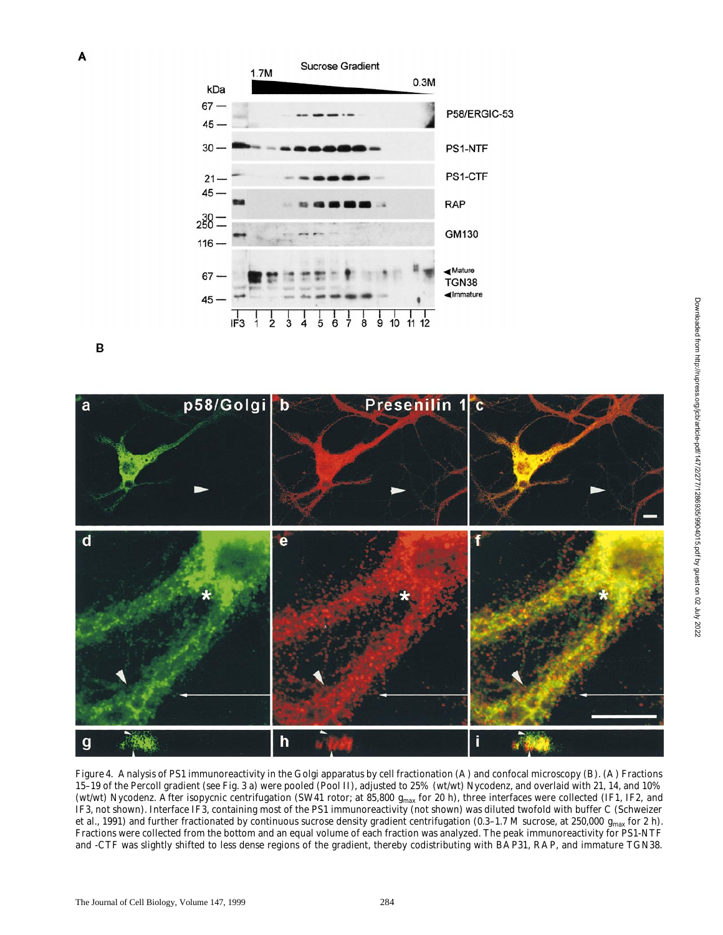

B



*Figure 4.* Analysis of PS1 immunoreactivity in the Golgi apparatus by cell fractionation (A) and confocal microscopy (B). (A) Fractions 15–19 of the Percoll gradient (see Fig. 3 a) were pooled (Pool II), adjusted to 25% (wt/wt) Nycodenz, and overlaid with 21, 14, and 10% (wt/wt) Nycodenz. After isopycnic centrifugation (SW41 rotor; at 85,800  $g_{\rm max}$  for 20 h), three interfaces were collected (IF1, IF2, and IF3, not shown). Interface IF3, containing most of the PS1 immunoreactivity (not shown) was diluted twofold with buffer C (Schweizer et al., 1991) and further fractionated by continuous sucrose density gradient centrifugation (0.3–1.7 M sucrose, at 250,000 *g*max for 2 h). Fractions were collected from the bottom and an equal volume of each fraction was analyzed. The peak immunoreactivity for PS1-NTF and -CTF was slightly shifted to less dense regions of the gradient, thereby codistributing with BAP31, RAP, and immature TGN38.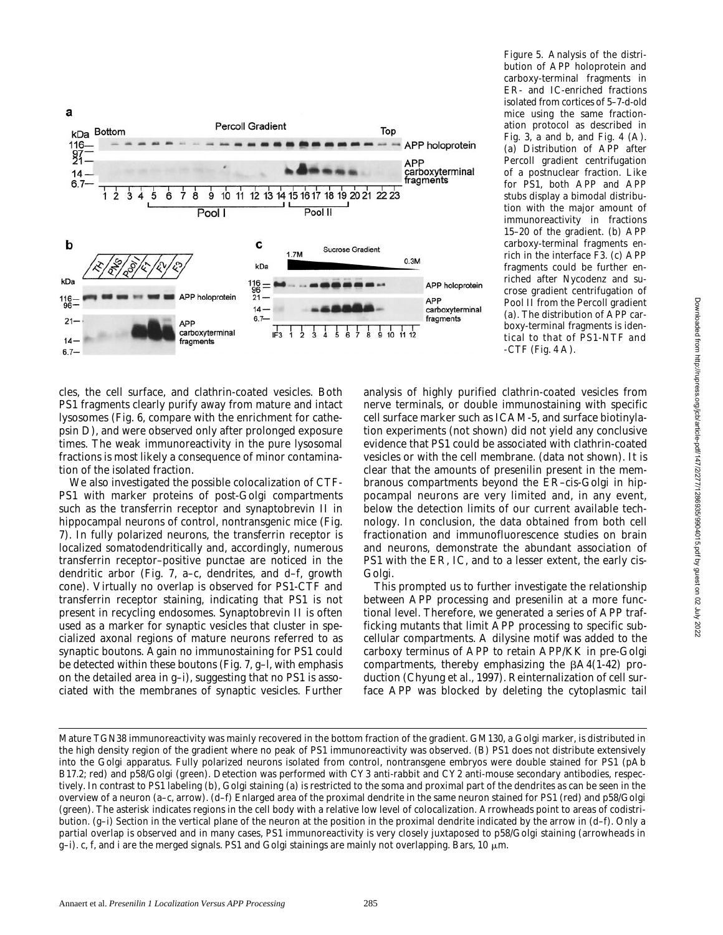

*Figure 5.* Analysis of the distribution of APP holoprotein and carboxy-terminal fragments in ER- and IC-enriched fractions isolated from cortices of 5–7-d-old mice using the same fractionation protocol as described in Fig. 3, a and b, and Fig. 4  $(A)$ . (a) Distribution of APP after Percoll gradient centrifugation of a postnuclear fraction. Like for PS1, both APP and APP stubs display a bimodal distribution with the major amount of immunoreactivity in fractions 15–20 of the gradient. (b) APP carboxy-terminal fragments enrich in the interface F3. (c) APP fragments could be further enriched after Nycodenz and sucrose gradient centrifugation of Pool II from the Percoll gradient (a). The distribution of APP carboxy-terminal fragments is identical to that of PS1-NTF and -CTF (Fig. 4 A).

cles, the cell surface, and clathrin-coated vesicles. Both PS1 fragments clearly purify away from mature and intact lysosomes (Fig. 6, compare with the enrichment for cathepsin D), and were observed only after prolonged exposure times. The weak immunoreactivity in the pure lysosomal fractions is most likely a consequence of minor contamination of the isolated fraction.

We also investigated the possible colocalization of CTF-PS1 with marker proteins of post-Golgi compartments such as the transferrin receptor and synaptobrevin II in hippocampal neurons of control, nontransgenic mice (Fig. 7). In fully polarized neurons, the transferrin receptor is localized somatodendritically and, accordingly, numerous transferrin receptor–positive punctae are noticed in the dendritic arbor (Fig. 7, a–c, dendrites, and d–f, growth cone). Virtually no overlap is observed for PS1-CTF and transferrin receptor staining, indicating that PS1 is not present in recycling endosomes. Synaptobrevin II is often used as a marker for synaptic vesicles that cluster in specialized axonal regions of mature neurons referred to as synaptic boutons. Again no immunostaining for PS1 could be detected within these boutons (Fig. 7, g–l, with emphasis on the detailed area in g–i), suggesting that no PS1 is associated with the membranes of synaptic vesicles. Further analysis of highly purified clathrin-coated vesicles from nerve terminals, or double immunostaining with specific cell surface marker such as ICAM-5, and surface biotinylation experiments (not shown) did not yield any conclusive evidence that PS1 could be associated with clathrin-coated vesicles or with the cell membrane. (data not shown). It is clear that the amounts of presenilin present in the membranous compartments beyond the ER–cis-Golgi in hippocampal neurons are very limited and, in any event, below the detection limits of our current available technology. In conclusion, the data obtained from both cell fractionation and immunofluorescence studies on brain and neurons, demonstrate the abundant association of PS1 with the ER, IC, and to a lesser extent, the early cis-Golgi.

This prompted us to further investigate the relationship between APP processing and presenilin at a more functional level. Therefore, we generated a series of APP trafficking mutants that limit APP processing to specific subcellular compartments. A dilysine motif was added to the carboxy terminus of APP to retain APP/KK in pre-Golgi compartments, thereby emphasizing the  $\beta$ A4(1-42) production (Chyung et al., 1997). Reinternalization of cell surface APP was blocked by deleting the cytoplasmic tail

Mature TGN38 immunoreactivity was mainly recovered in the bottom fraction of the gradient. GM130, a Golgi marker, is distributed in the high density region of the gradient where no peak of PS1 immunoreactivity was observed. (B) PS1 does not distribute extensively into the Golgi apparatus. Fully polarized neurons isolated from control, nontransgene embryos were double stained for PS1 (pAb B17.2; red) and p58/Golgi (green). Detection was performed with CY3 anti-rabbit and CY2 anti-mouse secondary antibodies, respectively. In contrast to PS1 labeling (b), Golgi staining (a) is restricted to the soma and proximal part of the dendrites as can be seen in the overview of a neuron (a–c, arrow). (d–f) Enlarged area of the proximal dendrite in the same neuron stained for PS1 (red) and p58/Golgi (green). The asterisk indicates regions in the cell body with a relative low level of colocalization. Arrowheads point to areas of codistribution. (g–i) Section in the vertical plane of the neuron at the position in the proximal dendrite indicated by the arrow in (d–f). Only a partial overlap is observed and in many cases, PS1 immunoreactivity is very closely juxtaposed to p58/Golgi staining (arrowheads in g–i). c, f, and i are the merged signals. PS1 and Golgi stainings are mainly not overlapping. Bars, 10  $\mu$ m.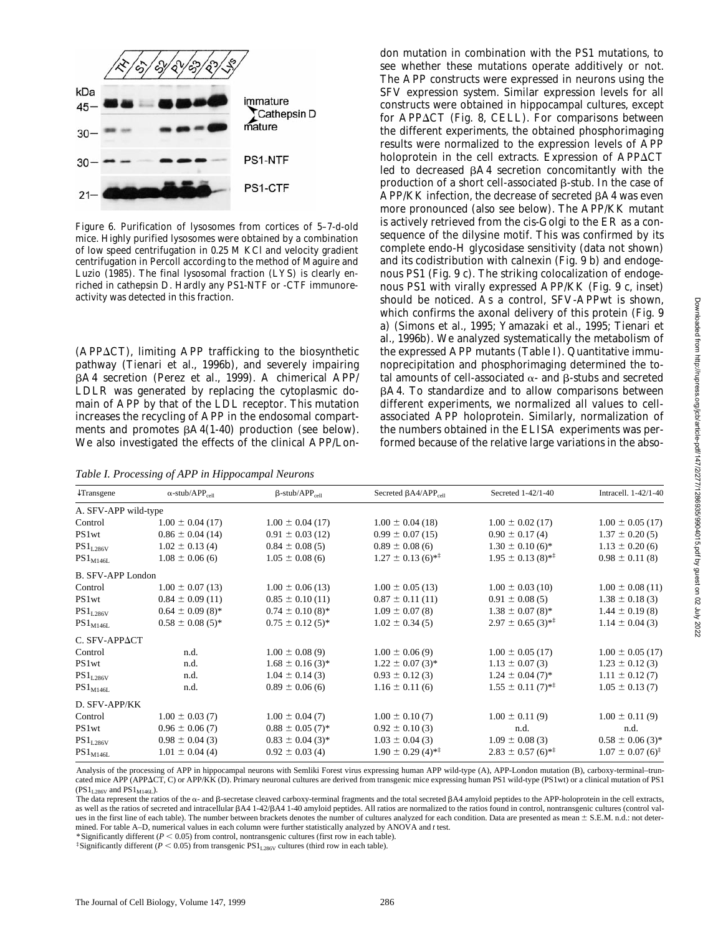

*Figure 6.* Purification of lysosomes from cortices of 5–7-d-old mice. Highly purified lysosomes were obtained by a combination of low speed centrifugation in 0.25 M KCl and velocity gradient centrifugation in Percoll according to the method of Maguire and Luzio (1985). The final lysosomal fraction (LYS) is clearly enriched in cathepsin D. Hardly any PS1-NTF or -CTF immunoreactivity was detected in this fraction.

 $(APP\Delta CT)$ , limiting APP trafficking to the biosynthetic pathway (Tienari et al., 1996b), and severely impairing bA4 secretion (Perez et al., 1999). A chimerical APP/ LDLR was generated by replacing the cytoplasmic domain of APP by that of the LDL receptor. This mutation increases the recycling of APP in the endosomal compartments and promotes  $\beta A4(1-40)$  production (see below). We also investigated the effects of the clinical APP/Lon-

*Table I. Processing of APP in Hippocampal Neurons*

don mutation in combination with the PS1 mutations, to see whether these mutations operate additively or not. The APP constructs were expressed in neurons using the SFV expression system. Similar expression levels for all constructs were obtained in hippocampal cultures, except for APP $\Delta$ CT (Fig. 8, CELL). For comparisons between the different experiments, the obtained phosphorimaging results were normalized to the expression levels of APP holoprotein in the cell extracts. Expression of  $APP\Delta CT$ led to decreased  $\beta A4$  secretion concomitantly with the production of a short cell-associated  $\beta$ -stub. In the case of  $APP/KK$  infection, the decrease of secreted  $\beta A4$  was even more pronounced (also see below). The APP/KK mutant is actively retrieved from the cis-Golgi to the ER as a consequence of the dilysine motif. This was confirmed by its complete endo-H glycosidase sensitivity (data not shown) and its codistribution with calnexin (Fig. 9 b) and endogenous PS1 (Fig. 9 c). The striking colocalization of endogenous PS1 with virally expressed APP/KK (Fig. 9 c, inset) should be noticed. As a control, SFV-APPwt is shown, which confirms the axonal delivery of this protein (Fig. 9 a) (Simons et al., 1995; Yamazaki et al., 1995; Tienari et al., 1996b). We analyzed systematically the metabolism of the expressed APP mutants (Table I). Quantitative immunoprecipitation and phosphorimaging determined the total amounts of cell-associated  $\alpha$ - and  $\beta$ -stubs and secreted  $\beta$ A4. To standardize and to allow comparisons between different experiments, we normalized all values to cellassociated APP holoprotein. Similarly, normalization of the numbers obtained in the ELISA experiments was performed because of the relative large variations in the abso-

| $\downarrow$ Transgene          | $\alpha$ -stub/APP <sub>cell</sub> | $\beta$ -stub/APP <sub>cell</sub> | Secreted $\beta$ A4/APP <sub>cell</sub> | Secreted 1-42/1-40                | Intracell, 1-42/1-40                                 |
|---------------------------------|------------------------------------|-----------------------------------|-----------------------------------------|-----------------------------------|------------------------------------------------------|
| A. SFV-APP wild-type            |                                    |                                   |                                         |                                   |                                                      |
| Control                         | $1.00 \pm 0.04$ (17)               | $1.00 \pm 0.04$ (17)              | $1.00 \pm 0.04$ (18)                    | $1.00 \pm 0.02$ (17)              | $1.00 \pm 0.05$ (17)                                 |
| PS1wt                           | $0.86 \pm 0.04$ (14)               | $0.91 \pm 0.03$ (12)              | $0.99 \pm 0.07$ (15)                    | $0.90 \pm 0.17(4)$                | $1.37 \pm 0.20(5)$                                   |
| $PS1_{L286V}$                   | $1.02 \pm 0.13(4)$                 | $0.84 \pm 0.08(5)$                | $0.89 \pm 0.08$ (6)                     | $1.30 \pm 0.10$ (6) <sup>*</sup>  | $1.13 \pm 0.20$ (6)                                  |
| $\mathrm{PS1}_{\mathrm{M146L}}$ | $1.08 \pm 0.06$ (6)                | $1.05 \pm 0.08$ (6)               | $1.27 \pm 0.13$ (6) <sup>**</sup>       | $1.95 \pm 0.13(8)$ <sup>**</sup>  | $0.98 \pm 0.11(8)$                                   |
| <b>B. SFV-APP London</b>        |                                    |                                   |                                         |                                   |                                                      |
| Control                         | $1.00 \pm 0.07$ (13)               | $1.00 \pm 0.06$ (13)              | $1.00 \pm 0.05$ (13)                    | $1.00 \pm 0.03$ (10)              | $1.00 \pm 0.08$ (11)                                 |
| PS1wt                           | $0.84 \pm 0.09$ (11)               | $0.85 \pm 0.10(11)$               | $0.87 \pm 0.11(11)$                     | $0.91 \pm 0.08(5)$                | $1.38 \pm 0.18$ (3)                                  |
| $\mathrm{PS1}_{\mathrm{L286V}}$ | $0.64 \pm 0.09(8)^*$               | $0.74 \pm 0.10(8)^*$              | $1.09 \pm 0.07(8)$                      | $1.38 \pm 0.07(8)^*$              | $1.44 \pm 0.19(8)$                                   |
| $PS1_{M146L}$                   | $0.58 \pm 0.08(5)^*$               | $0.75 \pm 0.12(5)^*$              | $1.02 \pm 0.34(5)$                      | $2.97 \pm 0.65$ (3) <sup>**</sup> | $1.14 \pm 0.04$ (3)                                  |
| C. SFV-APPACT                   |                                    |                                   |                                         |                                   |                                                      |
| Control                         | n.d.                               | $1.00 \pm 0.08(9)$                | $1.00 \pm 0.06(9)$                      | $1.00 \pm 0.05$ (17)              | $1.00 \pm 0.05$ (17)                                 |
| PS1wt                           | n.d.                               | $1.68 \pm 0.16$ (3) <sup>*</sup>  | $1.22 \pm 0.07$ (3) <sup>*</sup>        | $1.13 \pm 0.07(3)$                | $1.23 \pm 0.12$ (3)                                  |
| $PS1_{L286V}$                   | n.d.                               | $1.04 \pm 0.14$ (3)               | $0.93 \pm 0.12$ (3)                     | $1.24 \pm 0.04$ (7) <sup>*</sup>  | $1.11 \pm 0.12(7)$                                   |
| $PS1_{M146L}$                   | n.d.                               | $0.89 \pm 0.06$ (6)               | $1.16 \pm 0.11$ (6)                     | $1.55 \pm 0.11(7)$ <sup>**</sup>  | $1.05 \pm 0.13(7)$                                   |
| D. SFV-APP/KK                   |                                    |                                   |                                         |                                   |                                                      |
| Control                         | $1.00 \pm 0.03$ (7)                | $1.00 \pm 0.04$ (7)               | $1.00 \pm 0.10(7)$                      | $1.00 \pm 0.11(9)$                | $1.00 \pm 0.11(9)$                                   |
| PS1wt                           | $0.96 \pm 0.06(7)$                 | $0.88 \pm 0.05$ (7) <sup>*</sup>  | $0.92 \pm 0.10(3)$                      | n.d.                              | n.d.                                                 |
| $\mathrm{PS1}_{\mathrm{L286V}}$ | $0.98 \pm 0.04$ (3)                | $0.83 \pm 0.04$ (3) <sup>*</sup>  | $1.03 \pm 0.04$ (3)                     | $1.09 \pm 0.08$ (3)               | $0.58 \pm 0.06$ (3) <sup>*</sup>                     |
| $\mathrm{PS1}_{\mathrm{M146L}}$ | $1.01 \pm 0.04$ (4)                | $0.92 \pm 0.03$ (4)               | $1.90 \pm 0.29$ (4) <sup>**</sup>       | $2.83 \pm 0.57$ (6) <sup>**</sup> | $1.07 \pm 0.07$ (6) <sup><math>\ddagger</math></sup> |

Analysis of the processing of APP in hippocampal neurons with Semliki Forest virus expressing human APP wild-type (A), APP-London mutation (B), carboxy-terminal–truncated mice APP (APPACT, C) or APP/KK (D). Primary neuronal cultures are derived from transgenic mice expressing human PS1 wild-type (PS1wt) or a clinical mutation of PS1 (PS $1_{L286V}$  and PS $1_{M146L}$ ).

The data represent the ratios of the  $\alpha$ - and B-secretase cleaved carboxy-terminal fragments and the total secreted BA4 amyloid peptides to the APP-holoprotein in the cell extracts. as well as the ratios of secreted and intracellular  $\beta$ A4 1-42/ $\beta$ A4 1-40 amyloid peptides. All ratios are normalized to the ratios found in control, nontransgenic cultures (control values in the first line of each table). The number between brackets denotes the number of cultures analyzed for each condition. Data are presented as mean  $\pm$  S.E.M. n.d.: not determined. For table A–D, numerical values in each column were further statistically analyzed by ANOVA and *t* test.

\*Significantly different ( $P < 0.05$ ) from control, nontransgenic cultures (first row in each table).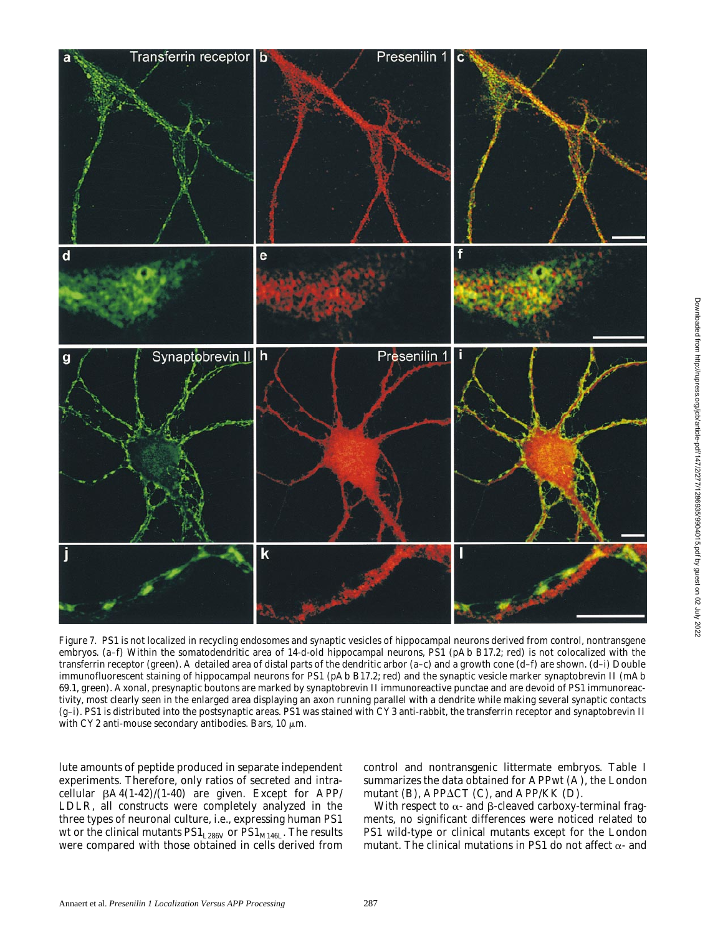

*Figure 7.* PS1 is not localized in recycling endosomes and synaptic vesicles of hippocampal neurons derived from control, nontransgene embryos. (a–f) Within the somatodendritic area of 14-d-old hippocampal neurons, PS1 (pAb B17.2; red) is not colocalized with the transferrin receptor (green). A detailed area of distal parts of the dendritic arbor (a–c) and a growth cone (d–f) are shown. (d–i) Double immunofluorescent staining of hippocampal neurons for PS1 (pAb B17.2; red) and the synaptic vesicle marker synaptobrevin II (mAb 69.1, green). Axonal, presynaptic boutons are marked by synaptobrevin II immunoreactive punctae and are devoid of PS1 immunoreactivity, most clearly seen in the enlarged area displaying an axon running parallel with a dendrite while making several synaptic contacts (g–i). PS1 is distributed into the postsynaptic areas. PS1 was stained with CY3 anti-rabbit, the transferrin receptor and synaptobrevin II with CY2 anti-mouse secondary antibodies. Bars, 10  $\mu$ m.

lute amounts of peptide produced in separate independent experiments. Therefore, only ratios of secreted and intracellular  $\beta A4(1-42)/(1-40)$  are given. Except for APP/ LDLR, all constructs were completely analyzed in the three types of neuronal culture, i.e., expressing human PS1 wt or the clinical mutants  $PS1_{L286V}$  or  $PS1_{M146L}$ . The results were compared with those obtained in cells derived from control and nontransgenic littermate embryos. Table I summarizes the data obtained for APPwt (A), the London mutant (B), APP $\Delta$ CT (C), and APP/KK (D).

With respect to  $\alpha$ - and  $\beta$ -cleaved carboxy-terminal fragments, no significant differences were noticed related to PS1 wild-type or clinical mutants except for the London mutant. The clinical mutations in PS1 do not affect  $\alpha$ - and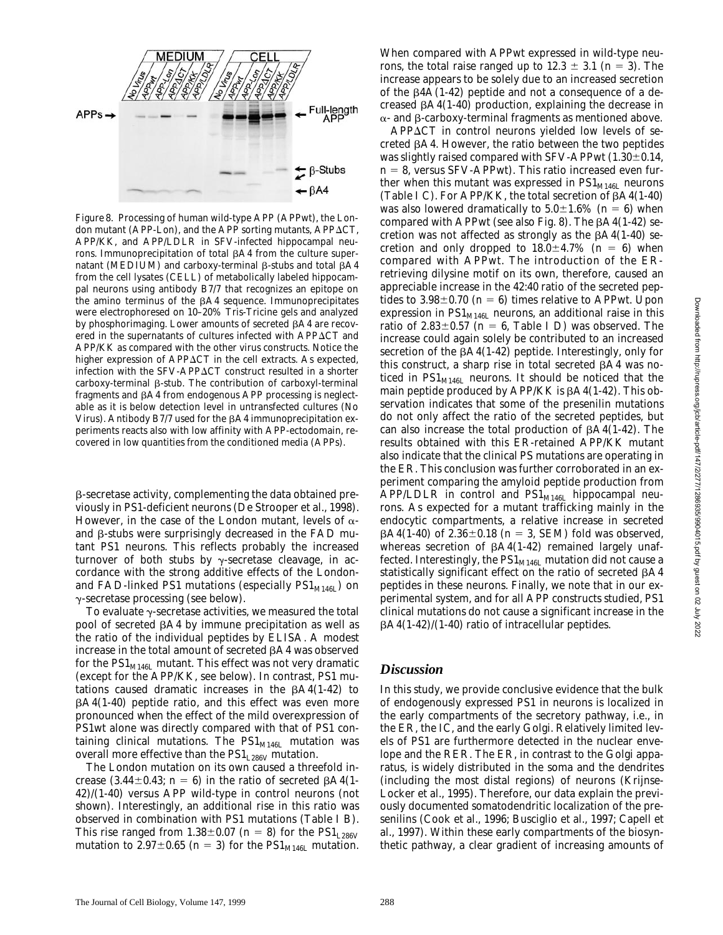

*Figure 8.* Processing of human wild-type APP (APPwt), the London mutant (APP-Lon), and the APP sorting mutants, APP $\Delta$ CT, APP/KK, and APP/LDLR in SFV-infected hippocampal neurons. Immunoprecipitation of total  $\beta A4$  from the culture supernatant (MEDIUM) and carboxy-terminal  $\beta$ -stubs and total  $\beta$ A4 from the cell lysates (CELL) of metabolically labeled hippocampal neurons using antibody B7/7 that recognizes an epitope on the amino terminus of the  $\beta A4$  sequence. Immunoprecipitates were electrophoresed on 10–20% Tris-Tricine gels and analyzed by phosphorimaging. Lower amounts of secreted  $\beta A4$  are recovered in the supernatants of cultures infected with  $APP\Delta CT$  and APP/KK as compared with the other virus constructs. Notice the higher expression of  $APP\Delta CT$  in the cell extracts. As expected, infection with the SFV-APP $\Delta$ CT construct resulted in a shorter  $carboxy-terminal \beta-stub.$  The contribution of carboxyl-terminal fragments and  $\beta A4$  from endogenous APP processing is neglectable as it is below detection level in untransfected cultures (No Virus). Antibody B7/7 used for the  $\beta$ A4 immunoprecipitation experiments reacts also with low affinity with APP-ectodomain, recovered in low quantities from the conditioned media (APPs).

b-secretase activity, complementing the data obtained previously in PS1-deficient neurons (De Strooper et al., 1998). However, in the case of the London mutant, levels of  $\alpha$ and  $\beta$ -stubs were surprisingly decreased in the FAD mutant PS1 neurons. This reflects probably the increased turnover of both stubs by  $\gamma$ -secretase cleavage, in accordance with the strong additive effects of the Londonand FAD-linked PS1 mutations (especially  $PS1_{M146I}$ ) on  $\gamma$ -secretase processing (see below).

To evaluate  $\gamma$ -secretase activities, we measured the total pool of secreted  $\beta A4$  by immune precipitation as well as the ratio of the individual peptides by ELISA. A modest increase in the total amount of secreted  $\beta A4$  was observed for the  $PS1<sub>M146L</sub>$  mutant. This effect was not very dramatic (except for the APP/KK, see below). In contrast, PS1 mutations caused dramatic increases in the  $\beta$ A4(1-42) to  $\beta$ A4(1-40) peptide ratio, and this effect was even more pronounced when the effect of the mild overexpression of PS1wt alone was directly compared with that of PS1 containing clinical mutations. The  $PS1<sub>M146L</sub>$  mutation was overall more effective than the  $PS1_{L286V}$  mutation.

The London mutation on its own caused a threefold increase (3.44 $\pm$ 0.43; *n* = 6) in the ratio of secreted  $\beta$ A4(1-42)/(1-40) versus APP wild-type in control neurons (not shown). Interestingly, an additional rise in this ratio was observed in combination with PS1 mutations (Table I B). This rise ranged from  $1.38 \pm 0.07$  ( $n = 8$ ) for the PS1<sub>L286V</sub> mutation to 2.97 $\pm$ 0.65 (*n* = 3) for the PS1<sub>M146L</sub> mutation.

When compared with APPwt expressed in wild-type neurons, the total raise ranged up to  $12.3 \pm 3.1$  ( $n = 3$ ). The increase appears to be solely due to an increased secretion of the  $\beta$ 4A(1-42) peptide and not a consequence of a decreased  $\beta$ A4(1-40) production, explaining the decrease in  $\alpha$ - and  $\beta$ -carboxy-terminal fragments as mentioned above.

 $APP\Delta CT$  in control neurons yielded low levels of secreted  $\beta$ A4. However, the ratio between the two peptides was slightly raised compared with SFV-APPwt  $(1.30 \pm 0.14, 0.14)$  $n = 8$ , versus SFV-APPwt). This ratio increased even further when this mutant was expressed in  $\text{PS1}_{\text{M146L}}$  neurons (Table I C). For APP/KK, the total secretion of  $\beta$ A4(1-40) was also lowered dramatically to  $5.0\pm1.6\%$  ( $n = 6$ ) when compared with APPwt (see also Fig. 8). The  $\beta$ A4(1-42) secretion was not affected as strongly as the  $\beta$ A4(1-40) secretion and only dropped to  $18.0 \pm 4.7\%$  ( $n = 6$ ) when compared with APPwt. The introduction of the ERretrieving dilysine motif on its own, therefore, caused an appreciable increase in the 42:40 ratio of the secreted peptides to  $3.98\pm0.70$  ( $n = 6$ ) times relative to APPwt. Upon expression in  $PS1<sub>M146L</sub>$  neurons, an additional raise in this ratio of  $2.83\pm0.57$  ( $n = 6$ , Table I D) was observed. The increase could again solely be contributed to an increased secretion of the  $\beta$ A4(1-42) peptide. Interestingly, only for this construct, a sharp rise in total secreted  $\beta A4$  was noticed in  $PS1_{M146L}$  neurons. It should be noticed that the main peptide produced by  $APP/KK$  is  $\beta A4(1-42)$ . This observation indicates that some of the presenilin mutations do not only affect the ratio of the secreted peptides, but can also increase the total production of  $\beta$ A4(1-42). The results obtained with this ER-retained APP/KK mutant also indicate that the clinical PS mutations are operating in the ER. This conclusion was further corroborated in an experiment comparing the amyloid peptide production from APP/LDLR in control and  $PS1_{M146L}$  hippocampal neurons. As expected for a mutant trafficking mainly in the endocytic compartments, a relative increase in secreted  $\beta$ A4(1-40) of 2.36 $\pm$ 0.18 (*n* = 3, SEM) fold was observed, whereas secretion of  $\beta A4(1-42)$  remained largely unaffected. Interestingly, the  $PS1<sub>M146L</sub>$  mutation did not cause a statistically significant effect on the ratio of secreted  $\beta A4$ peptides in these neurons. Finally, we note that in our experimental system, and for all APP constructs studied, PS1 clinical mutations do not cause a significant increase in the  $\beta$ A4(1-42)/(1-40) ratio of intracellular peptides.

#### *Discussion*

In this study, we provide conclusive evidence that the bulk of endogenously expressed PS1 in neurons is localized in the early compartments of the secretory pathway, i.e., in the ER, the IC, and the early Golgi. Relatively limited levels of PS1 are furthermore detected in the nuclear envelope and the RER. The ER, in contrast to the Golgi apparatus, is widely distributed in the soma and the dendrites (including the most distal regions) of neurons (Krijnse-Locker et al., 1995). Therefore, our data explain the previously documented somatodendritic localization of the presenilins (Cook et al., 1996; Busciglio et al., 1997; Capell et al., 1997). Within these early compartments of the biosynthetic pathway, a clear gradient of increasing amounts of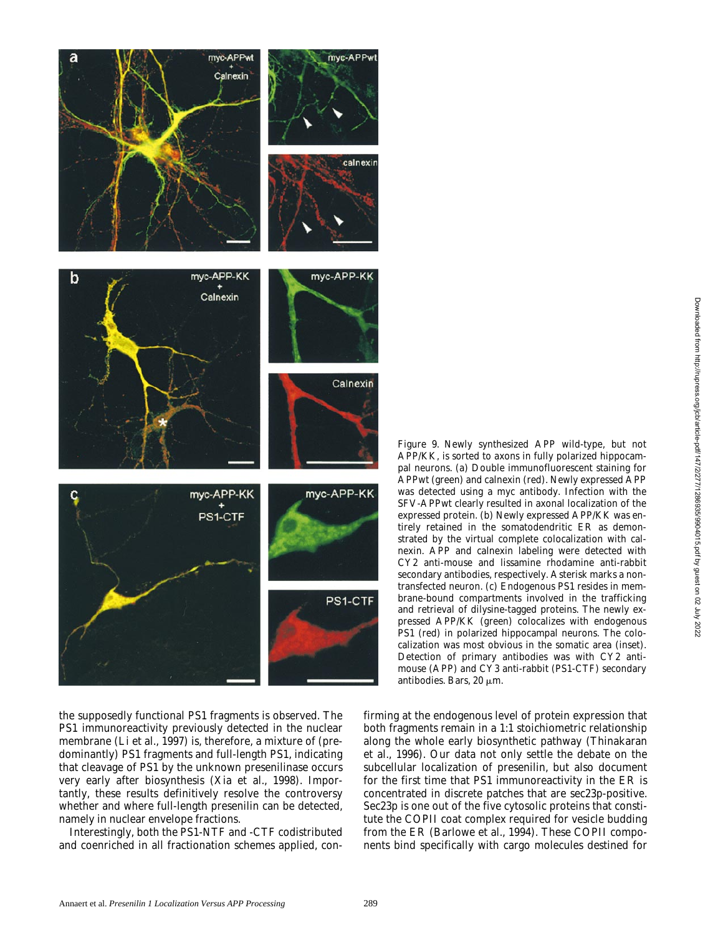

the supposedly functional PS1 fragments is observed. The PS1 immunoreactivity previously detected in the nuclear membrane (Li et al., 1997) is, therefore, a mixture of (predominantly) PS1 fragments and full-length PS1, indicating that cleavage of PS1 by the unknown presenilinase occurs very early after biosynthesis (Xia et al., 1998). Importantly, these results definitively resolve the controversy whether and where full-length presenilin can be detected, namely in nuclear envelope fractions.

Interestingly, both the PS1-NTF and -CTF codistributed and coenriched in all fractionation schemes applied, con-

*Figure 9.* Newly synthesized APP wild-type, but not APP/KK, is sorted to axons in fully polarized hippocampal neurons. (a) Double immunofluorescent staining for APPwt (green) and calnexin (red). Newly expressed APP was detected using a myc antibody. Infection with the SFV-APPwt clearly resulted in axonal localization of the expressed protein. (b) Newly expressed APP/KK was entirely retained in the somatodendritic ER as demonstrated by the virtual complete colocalization with calnexin. APP and calnexin labeling were detected with CY2 anti-mouse and lissamine rhodamine anti-rabbit secondary antibodies, respectively. Asterisk marks a nontransfected neuron. (c) Endogenous PS1 resides in membrane-bound compartments involved in the trafficking and retrieval of dilysine-tagged proteins. The newly expressed APP/KK (green) colocalizes with endogenous PS1 (red) in polarized hippocampal neurons. The colocalization was most obvious in the somatic area (inset). Detection of primary antibodies was with CY2 antimouse (APP) and CY3 anti-rabbit (PS1-CTF) secondary antibodies. Bars, 20  $\mu$ m.

firming at the endogenous level of protein expression that both fragments remain in a 1:1 stoichiometric relationship along the whole early biosynthetic pathway (Thinakaran et al., 1996). Our data not only settle the debate on the subcellular localization of presenilin, but also document for the first time that PS1 immunoreactivity in the ER is concentrated in discrete patches that are sec23p-positive. Sec23p is one out of the five cytosolic proteins that constitute the COPII coat complex required for vesicle budding from the ER (Barlowe et al., 1994). These COPII components bind specifically with cargo molecules destined for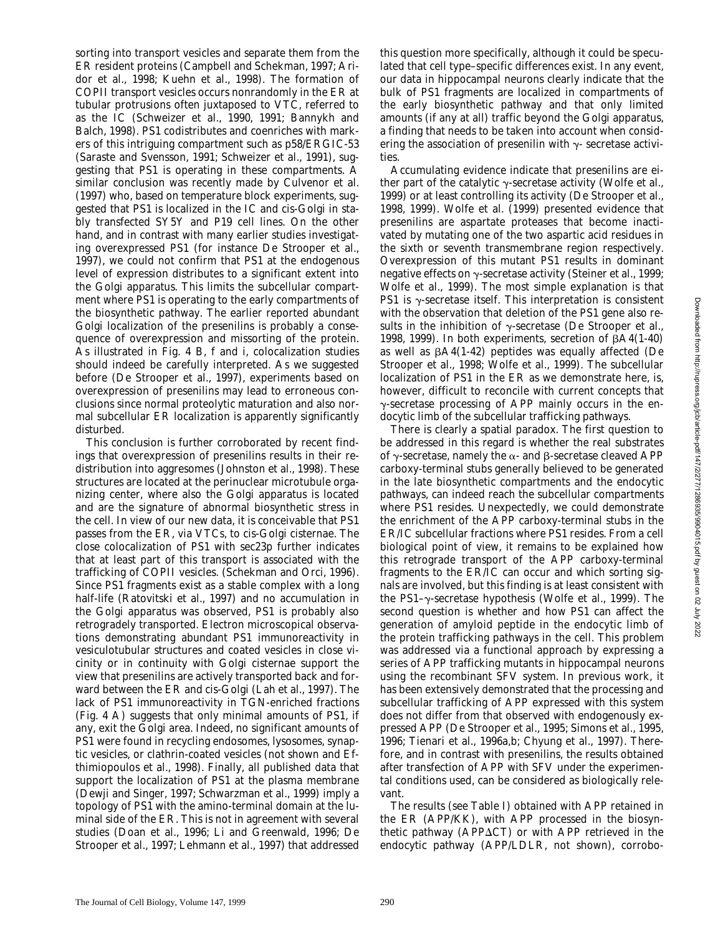sorting into transport vesicles and separate them from the ER resident proteins (Campbell and Schekman, 1997; Aridor et al., 1998; Kuehn et al., 1998). The formation of COPII transport vesicles occurs nonrandomly in the ER at tubular protrusions often juxtaposed to VTC, referred to as the IC (Schweizer et al., 1990, 1991; Bannykh and Balch, 1998). PS1 codistributes and coenriches with markers of this intriguing compartment such as p58/ERGIC-53 (Saraste and Svensson, 1991; Schweizer et al., 1991), suggesting that PS1 is operating in these compartments. A similar conclusion was recently made by Culvenor et al. (1997) who, based on temperature block experiments, suggested that PS1 is localized in the IC and cis-Golgi in stably transfected SY5Y and P19 cell lines. On the other hand, and in contrast with many earlier studies investigating overexpressed PS1 (for instance De Strooper et al., 1997), we could not confirm that PS1 at the endogenous level of expression distributes to a significant extent into the Golgi apparatus. This limits the subcellular compartment where PS1 is operating to the early compartments of the biosynthetic pathway. The earlier reported abundant Golgi localization of the presenilins is probably a consequence of overexpression and missorting of the protein. As illustrated in Fig. 4 B, f and i, colocalization studies should indeed be carefully interpreted. As we suggested before (De Strooper et al., 1997), experiments based on overexpression of presenilins may lead to erroneous conclusions since normal proteolytic maturation and also normal subcellular ER localization is apparently significantly disturbed.

This conclusion is further corroborated by recent findings that overexpression of presenilins results in their redistribution into aggresomes (Johnston et al., 1998). These structures are located at the perinuclear microtubule organizing center, where also the Golgi apparatus is located and are the signature of abnormal biosynthetic stress in the cell. In view of our new data, it is conceivable that PS1 passes from the ER, via VTCs, to cis-Golgi cisternae. The close colocalization of PS1 with sec23p further indicates that at least part of this transport is associated with the trafficking of COPII vesicles. (Schekman and Orci, 1996). Since PS1 fragments exist as a stable complex with a long half-life (Ratovitski et al., 1997) and no accumulation in the Golgi apparatus was observed, PS1 is probably also retrogradely transported. Electron microscopical observations demonstrating abundant PS1 immunoreactivity in vesiculotubular structures and coated vesicles in close vicinity or in continuity with Golgi cisternae support the view that presenilins are actively transported back and forward between the ER and cis-Golgi (Lah et al., 1997). The lack of PS1 immunoreactivity in TGN-enriched fractions (Fig. 4 A) suggests that only minimal amounts of PS1, if any, exit the Golgi area. Indeed, no significant amounts of PS1 were found in recycling endosomes, lysosomes, synaptic vesicles, or clathrin-coated vesicles (not shown and Efthimiopoulos et al., 1998). Finally, all published data that support the localization of PS1 at the plasma membrane (Dewji and Singer, 1997; Schwarzman et al., 1999) imply a topology of PS1 with the amino-terminal domain at the luminal side of the ER. This is not in agreement with several studies (Doan et al., 1996; Li and Greenwald, 1996; De Strooper et al., 1997; Lehmann et al., 1997) that addressed

this question more specifically, although it could be speculated that cell type–specific differences exist. In any event, our data in hippocampal neurons clearly indicate that the bulk of PS1 fragments are localized in compartments of the early biosynthetic pathway and that only limited amounts (if any at all) traffic beyond the Golgi apparatus, a finding that needs to be taken into account when considering the association of presenilin with  $\gamma$ - secretase activities.

Accumulating evidence indicate that presenilins are either part of the catalytic  $\gamma$ -secretase activity (Wolfe et al., 1999) or at least controlling its activity (De Strooper et al., 1998, 1999). Wolfe et al. (1999) presented evidence that presenilins are aspartate proteases that become inactivated by mutating one of the two aspartic acid residues in the sixth or seventh transmembrane region respectively. Overexpression of this mutant PS1 results in dominant negative effects on  $\gamma$ -secretase activity (Steiner et al., 1999; Wolfe et al., 1999). The most simple explanation is that PS1 is  $\gamma$ -secretase itself. This interpretation is consistent with the observation that deletion of the PS1 gene also results in the inhibition of  $\gamma$ -secretase (De Strooper et al., 1998, 1999). In both experiments, secretion of  $\beta$ A4(1-40) as well as  $\beta$ A4(1-42) peptides was equally affected (De Strooper et al., 1998; Wolfe et al., 1999). The subcellular localization of PS1 in the ER as we demonstrate here, is, however, difficult to reconcile with current concepts that  $\gamma$ -secretase processing of APP mainly occurs in the endocytic limb of the subcellular trafficking pathways.

There is clearly a spatial paradox. The first question to be addressed in this regard is whether the real substrates of  $\gamma$ -secretase, namely the  $\alpha$ - and  $\beta$ -secretase cleaved APP carboxy-terminal stubs generally believed to be generated in the late biosynthetic compartments and the endocytic pathways, can indeed reach the subcellular compartments where PS1 resides. Unexpectedly, we could demonstrate the enrichment of the APP carboxy-terminal stubs in the ER/IC subcellular fractions where PS1 resides. From a cell biological point of view, it remains to be explained how this retrograde transport of the APP carboxy-terminal fragments to the ER/IC can occur and which sorting signals are involved, but this finding is at least consistent with the PS1– $\gamma$ -secretase hypothesis (Wolfe et al., 1999). The second question is whether and how PS1 can affect the generation of amyloid peptide in the endocytic limb of the protein trafficking pathways in the cell. This problem was addressed via a functional approach by expressing a series of APP trafficking mutants in hippocampal neurons using the recombinant SFV system. In previous work, it has been extensively demonstrated that the processing and subcellular trafficking of APP expressed with this system does not differ from that observed with endogenously expressed APP (De Strooper et al., 1995; Simons et al., 1995, 1996; Tienari et al., 1996a,b; Chyung et al., 1997). Therefore, and in contrast with presenilins, the results obtained after transfection of APP with SFV under the experimental conditions used, can be considered as biologically relevant.

The results (see Table I) obtained with APP retained in the ER (APP/KK), with APP processed in the biosynthetic pathway (APP $\Delta$ CT) or with APP retrieved in the endocytic pathway (APP/LDLR, not shown), corrobo-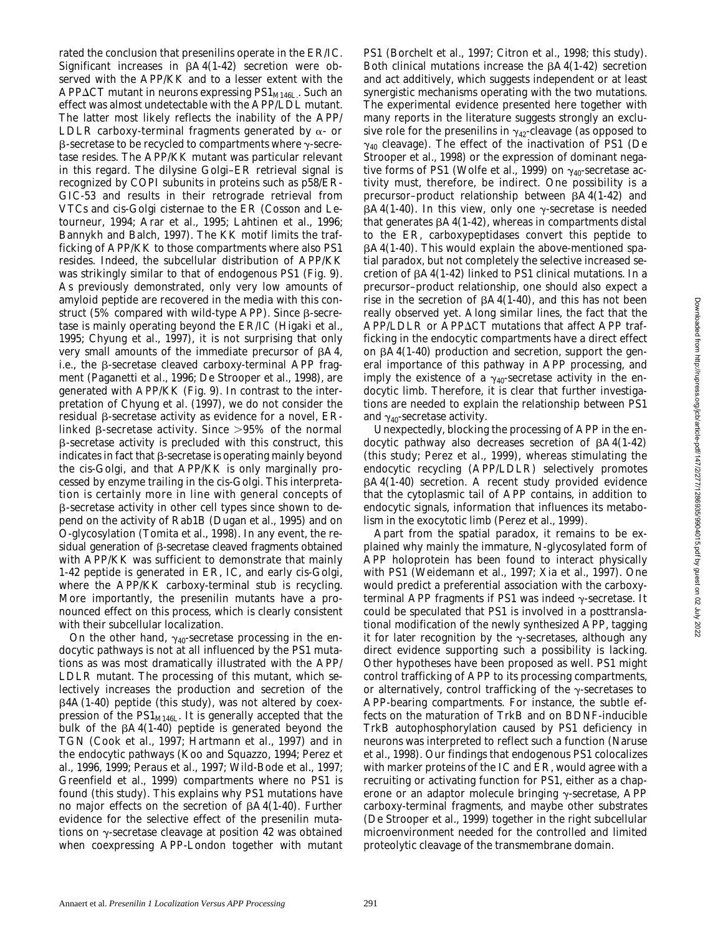rated the conclusion that presenilins operate in the ER/IC. Significant increases in  $\beta$ A4(1-42) secretion were observed with the APP/KK and to a lesser extent with the APP $\Delta$ CT mutant in neurons expressing PS1<sub>M146L</sub>. Such an effect was almost undetectable with the APP/LDL mutant. The latter most likely reflects the inability of the APP/ LDLR carboxy-terminal fragments generated by  $\alpha$ - or  $\beta$ -secretase to be recycled to compartments where  $\gamma$ -secretase resides. The APP/KK mutant was particular relevant in this regard. The dilysine Golgi–ER retrieval signal is recognized by COPI subunits in proteins such as p58/ER-GIC-53 and results in their retrograde retrieval from VTCs and cis-Golgi cisternae to the ER (Cosson and Letourneur, 1994; Arar et al., 1995; Lahtinen et al., 1996; Bannykh and Balch, 1997). The KK motif limits the trafficking of APP/KK to those compartments where also PS1 resides. Indeed, the subcellular distribution of APP/KK was strikingly similar to that of endogenous PS1 (Fig. 9). As previously demonstrated, only very low amounts of amyloid peptide are recovered in the media with this construct (5% compared with wild-type APP). Since  $\beta$ -secretase is mainly operating beyond the ER/IC (Higaki et al., 1995; Chyung et al., 1997), it is not surprising that only very small amounts of the immediate precursor of  $\beta A4$ , i.e., the  $\beta$ -secretase cleaved carboxy-terminal APP fragment (Paganetti et al., 1996; De Strooper et al., 1998), are generated with APP/KK (Fig. 9). In contrast to the interpretation of Chyung et al. (1997), we do not consider the residual  $\beta$ -secretase activity as evidence for a novel, ERlinked  $\beta$ -secretase activity. Since  $>95\%$  of the normal  $\beta$ -secretase activity is precluded with this construct, this indicates in fact that  $\beta$ -secretase is operating mainly beyond the cis-Golgi, and that APP/KK is only marginally processed by enzyme trailing in the cis-Golgi. This interpretation is certainly more in line with general concepts of  $\beta$ -secretase activity in other cell types since shown to depend on the activity of Rab1B (Dugan et al., 1995) and on O-glycosylation (Tomita et al., 1998). In any event, the residual generation of  $\beta$ -secretase cleaved fragments obtained with APP/KK was sufficient to demonstrate that mainly 1-42 peptide is generated in ER, IC, and early cis-Golgi, where the APP/KK carboxy-terminal stub is recycling. More importantly, the presenilin mutants have a pronounced effect on this process, which is clearly consistent with their subcellular localization.

On the other hand,  $\gamma_{40}$ -secretase processing in the endocytic pathways is not at all influenced by the PS1 mutations as was most dramatically illustrated with the APP/ LDLR mutant. The processing of this mutant, which selectively increases the production and secretion of the  $\beta$ 4A(1-40) peptide (this study), was not altered by coexpression of the  $PS1_{M146L}$ . It is generally accepted that the bulk of the  $\beta$ A4(1-40) peptide is generated beyond the TGN (Cook et al., 1997; Hartmann et al., 1997) and in the endocytic pathways (Koo and Squazzo, 1994; Perez et al., 1996, 1999; Peraus et al., 1997; Wild-Bode et al., 1997; Greenfield et al., 1999) compartments where no PS1 is found (this study). This explains why PS1 mutations have no major effects on the secretion of  $\beta$ A4(1-40). Further evidence for the selective effect of the presenilin mutations on  $\gamma$ -secretase cleavage at position 42 was obtained when coexpressing APP-London together with mutant

PS1 (Borchelt et al., 1997; Citron et al., 1998; this study). Both clinical mutations increase the  $\beta$ A4(1-42) secretion and act additively, which suggests independent or at least synergistic mechanisms operating with the two mutations. The experimental evidence presented here together with many reports in the literature suggests strongly an exclusive role for the presenilins in  $\gamma_{42}$ -cleavage (as opposed to  $\gamma_{40}$  cleavage). The effect of the inactivation of PS1 (De Strooper et al., 1998) or the expression of dominant negative forms of PS1 (Wolfe et al., 1999) on  $\gamma_{40}$ -secretase activity must, therefore, be indirect. One possibility is a precursor-product relationship between  $\beta$ A4(1-42) and  $\beta$ A4(1-40). In this view, only one  $\gamma$ -secretase is needed that generates  $\beta$ A4(1-42), whereas in compartments distal to the ER, carboxypeptidases convert this peptide to  $\beta$ A4(1-40). This would explain the above-mentioned spatial paradox, but not completely the selective increased secretion of  $\beta$ A4(1-42) linked to PS1 clinical mutations. In a precursor–product relationship, one should also expect a rise in the secretion of  $\beta A4(1-40)$ , and this has not been really observed yet. Along similar lines, the fact that the  $APP/LDLR$  or  $APP\Delta CT$  mutations that affect APP trafficking in the endocytic compartments have a direct effect on  $\beta$ A4(1-40) production and secretion, support the general importance of this pathway in APP processing, and imply the existence of a  $\gamma_{40}$ -secretase activity in the endocytic limb. Therefore, it is clear that further investigations are needed to explain the relationship between PS1 and  $\gamma_{40}$ -secretase activity.

Unexpectedly, blocking the processing of APP in the endocytic pathway also decreases secretion of  $\beta$ A4(1-42) (this study; Perez et al., 1999), whereas stimulating the endocytic recycling (APP/LDLR) selectively promotes  $\beta$ A4(1-40) secretion. A recent study provided evidence that the cytoplasmic tail of APP contains, in addition to endocytic signals, information that influences its metabolism in the exocytotic limb (Perez et al., 1999).

Apart from the spatial paradox, it remains to be explained why mainly the immature, *N*-glycosylated form of APP holoprotein has been found to interact physically with PS1 (Weidemann et al., 1997; Xia et al., 1997). One would predict a preferential association with the carboxyterminal APP fragments if PS1 was indeed  $\gamma$ -secretase. It could be speculated that PS1 is involved in a posttranslational modification of the newly synthesized APP, tagging it for later recognition by the  $\gamma$ -secretases, although any direct evidence supporting such a possibility is lacking. Other hypotheses have been proposed as well. PS1 might control trafficking of APP to its processing compartments, or alternatively, control trafficking of the  $\gamma$ -secretases to APP-bearing compartments. For instance, the subtle effects on the maturation of TrkB and on BDNF-inducible TrkB autophosphorylation caused by PS1 deficiency in neurons was interpreted to reflect such a function (Naruse et al., 1998). Our findings that endogenous PS1 colocalizes with marker proteins of the IC and ER, would agree with a recruiting or activating function for PS1, either as a chaperone or an adaptor molecule bringing  $\gamma$ -secretase, APP carboxy-terminal fragments, and maybe other substrates (De Strooper et al., 1999) together in the right subcellular microenvironment needed for the controlled and limited proteolytic cleavage of the transmembrane domain.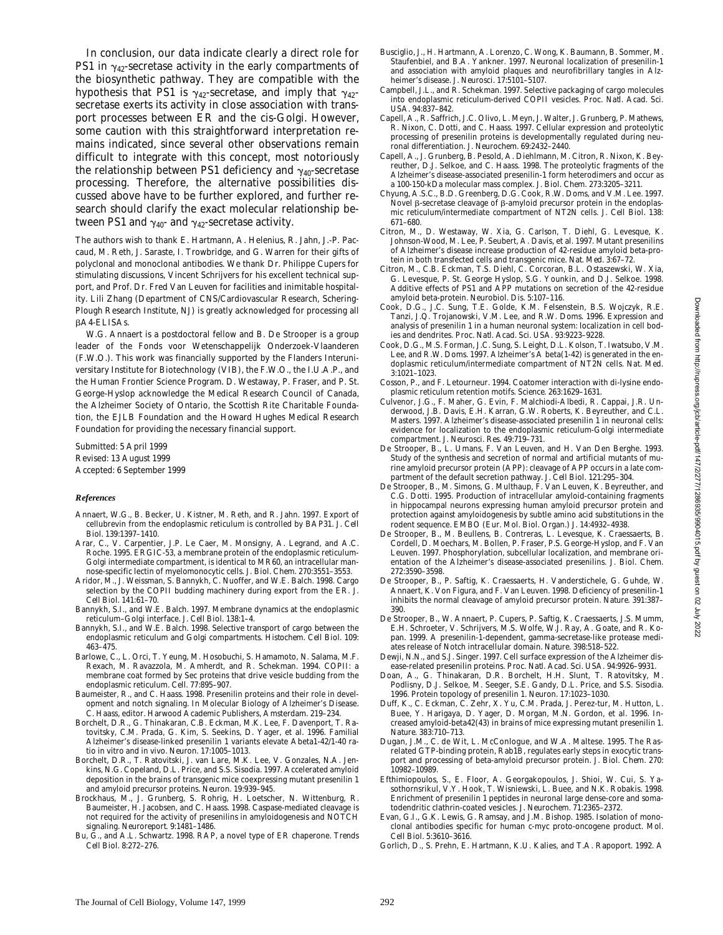In conclusion, our data indicate clearly a direct role for PS1 in  $\gamma_{42}$ -secretase activity in the early compartments of the biosynthetic pathway. They are compatible with the hypothesis that PS1 is  $\gamma_{42}$ -secretase, and imply that  $\gamma_{42}$ secretase exerts its activity in close association with transport processes between ER and the cis-Golgi. However, some caution with this straightforward interpretation remains indicated, since several other observations remain difficult to integrate with this concept, most notoriously the relationship between PS1 deficiency and  $\gamma_{40}$ -secretase processing. Therefore, the alternative possibilities discussed above have to be further explored, and further research should clarify the exact molecular relationship between PS1 and  $\gamma_{40}$ - and  $\gamma_{42}$ -secretase activity.

The authors wish to thank E. Hartmann, A. Helenius, R. Jahn, J.-P. Paccaud, M. Reth, J. Saraste, I. Trowbridge, and G. Warren for their gifts of polyclonal and monoclonal antibodies. We thank Dr. Philippe Cupers for stimulating discussions, Vincent Schrijvers for his excellent technical support, and Prof. Dr. Fred Van Leuven for facilities and inimitable hospitality. Lili Zhang (Department of CNS/Cardiovascular Research, Schering-Plough Research Institute, NJ) is greatly acknowledged for processing all bA4-ELISAs.

W.G. Annaert is a postdoctoral fellow and B. De Strooper is a group leader of the Fonds voor Wetenschappelijk Onderzoek-Vlaanderen (F.W.O.). This work was financially supported by the Flanders Interuniversitary Institute for Biotechnology (VIB), the F.W.O., the I.U.A.P., and the Human Frontier Science Program. D. Westaway, P. Fraser, and P. St. George-Hyslop acknowledge the Medical Research Council of Canada, the Alzheimer Society of Ontario, the Scottish Rite Charitable Foundation, the EJLB Foundation and the Howard Hughes Medical Research Foundation for providing the necessary financial support.

Submitted: 5 April 1999 Revised: 13 August 1999 Accepted: 6 September 1999

#### *References*

- Annaert, W.G., B. Becker, U. Kistner, M. Reth, and R. Jahn. 1997. Export of cellubrevin from the endoplasmic reticulum is controlled by BAP31. *J. Cell Biol.* 139:1397–1410.
- Arar, C., V. Carpentier, J.P. Le Caer, M. Monsigny, A. Legrand, and A.C. Roche. 1995. ERGIC-53, a membrane protein of the endoplasmic reticulum-Golgi intermediate compartment, is identical to MR60, an intracellular mannose-specific lectin of myelomonocytic cells. *J. Biol. Chem.* 270:3551–3553.
- Aridor, M., J. Weissman, S. Bannykh, C. Nuoffer, and W.E. Balch. 1998. Cargo selection by the COPII budding machinery during export from the ER. *J. Cell Biol.* 141:61–70.
- Bannykh, S.I., and W.E. Balch. 1997. Membrane dynamics at the endoplasmic reticulum–Golgi interface. *J. Cell Biol.* 138:1–4.
- Bannykh, S.I., and W.E. Balch. 1998. Selective transport of cargo between the endoplasmic reticulum and Golgi compartments. *Histochem. Cell Biol*. 109: 463–475.
- Barlowe, C., L. Orci, T. Yeung, M. Hosobuchi, S. Hamamoto, N. Salama, M.F. Rexach, M. Ravazzola, M. Amherdt, and R. Schekman. 1994. COPII: a membrane coat formed by Sec proteins that drive vesicle budding from the endoplasmic reticulum. *Cell*. 77:895–907.
- Baumeister, R., and C. Haass. 1998. Presenilin proteins and their role in development and notch signaling. *In* Molecular Biology of Alzheimer's Disease. C. Haass, editor. Harwood Academic Publishers, Amsterdam. 219–234.
- Borchelt, D.R., G. Thinakaran, C.B. Eckman, M.K. Lee, F. Davenport, T. Ratovitsky, C.M. Prada, G. Kim, S. Seekins, D. Yager, et al. 1996. Familial Alzheimer's disease-linked presenilin 1 variants elevate Abeta1-42/1-40 ratio in vitro and in vivo. *Neuron*. 17:1005–1013.
- Borchelt, D.R., T. Ratovitski, J. van Lare, M.K. Lee, V. Gonzales, N.A. Jenkins, N.G. Copeland, D.L. Price, and S.S. Sisodia. 1997. Accelerated amyloid deposition in the brains of transgenic mice coexpressing mutant presenilin 1 and amyloid precursor proteins. *Neuron*. 19:939–945.
- Brockhaus, M., J. Grunberg, S. Rohrig, H. Loetscher, N. Wittenburg, R. Baumeister, H. Jacobsen, and C. Haass. 1998. Caspase-mediated cleavage is not required for the activity of presenilins in amyloidogenesis and NOTCH signaling. *Neuroreport*. 9:1481–1486.
- Bu, G., and A.L. Schwartz. 1998. RAP, a novel type of ER chaperone. *Trends Cell Biol*. 8:272–276.
- Busciglio, J., H. Hartmann, A. Lorenzo, C. Wong, K. Baumann, B. Sommer, M. Staufenbiel, and B.A. Yankner. 1997. Neuronal localization of presenilin-1 and association with amyloid plaques and neurofibrillary tangles in Alzheimer's disease. *J. Neurosci.* 17:5101–5107.
- Campbell, J.L., and R. Schekman. 1997. Selective packaging of cargo molecules into endoplasmic reticulum-derived COPII vesicles. *Proc. Natl. Acad. Sci. USA.* 94:837–842.
- Capell, A., R. Saffrich, J.C. Olivo, L. Meyn, J. Walter, J. Grunberg, P. Mathews, R. Nixon, C. Dotti, and C. Haass. 1997. Cellular expression and proteolytic processing of presenilin proteins is developmentally regulated during neuronal differentiation. *J. Neurochem.* 69:2432–2440.
- Capell, A., J. Grunberg, B. Pesold, A. Diehlmann, M. Citron, R. Nixon, K. Beyreuther, D.J. Selkoe, and C. Haass. 1998. The proteolytic fragments of the Alzheimer's disease-associated presenilin-1 form heterodimers and occur as a 100-150-kDa molecular mass complex. *J. Biol. Chem.* 273:3205–3211.
- Chyung, A.S.C., B.D. Greenberg, D.G. Cook, R.W. Doms, and V.M. Lee. 1997. Novel  $\beta$ -secretase cleavage of  $\beta$ -amyloid precursor protein in the endoplasmic reticulum/intermediate compartment of NT2N cells. *J. Cell Biol.* 138: 671–680.
- Citron, M., D. Westaway, W. Xia, G. Carlson, T. Diehl, G. Levesque, K. Johnson-Wood, M. Lee, P. Seubert, A. Davis, et al. 1997. Mutant presenilins of Alzheimer's disease increase production of 42-residue amyloid beta-protein in both transfected cells and transgenic mice. *Nat. Med*. 3:67–72.
- Citron, M., C.B. Eckman, T.S. Diehl, C. Corcoran, B.L. Ostaszewski, W. Xia, G. Levesque, P. St. George Hyslop, S.G. Younkin, and D.J. Selkoe. 1998. Additive effects of PS1 and APP mutations on secretion of the 42-residue amyloid beta-protein. *Neurobiol. Dis.* 5:107–116.
- Cook, D.G., J.C. Sung, T.E. Golde, K.M. Felsenstein, B.S. Wojczyk, R.E. Tanzi, J.Q. Trojanowski, V.M. Lee, and R.W. Doms. 1996. Expression and analysis of presenilin 1 in a human neuronal system: localization in cell bodies and dendrites. *Proc. Natl. Acad. Sci. USA.* 93:9223–9228.
- Cook, D.G., M.S. Forman, J.C. Sung, S. Leight, D.L. Kolson, T. Iwatsubo, V.M. Lee, and R.W. Doms. 1997. Alzheimer's A beta(1-42) is generated in the endoplasmic reticulum/intermediate compartment of NT2N cells. *Nat. Med.* 3:1021–1023.
- Cosson, P., and F. Letourneur. 1994. Coatomer interaction with di-lysine endoplasmic reticulum retention motifs. *Science*. 263:1629–1631.
- Culvenor, J.G., F. Maher, G. Evin, F. Malchiodi-Albedi, R. Cappai, J.R. Underwood, J.B. Davis, E.H. Karran, G.W. Roberts, K. Beyreuther, and C.L. Masters. 1997. Alzheimer's disease-associated presenilin 1 in neuronal cells: evidence for localization to the endoplasmic reticulum-Golgi intermediate compartment. *J. Neurosci. Res.* 49:719–731.
- De Strooper, B., L. Umans, F. Van Leuven, and H. Van Den Berghe. 1993. Study of the synthesis and secretion of normal and artificial mutants of murine amyloid precursor protein (APP): cleavage of APP occurs in a late compartment of the default secretion pathway. *J. Cell Biol.* 121:295–304.
- De Strooper, B., M. Simons, G. Multhaup, F. Van Leuven, K. Beyreuther, and C.G. Dotti. 1995. Production of intracellular amyloid-containing fragments in hippocampal neurons expressing human amyloid precursor protein and protection against amyloidogenesis by subtle amino acid substitutions in the rodent sequence. *EMBO (Eur. Mol. Biol. Organ.) J.* 14:4932–4938.
- De Strooper, B., M. Beullens, B. Contreras, L. Levesque, K. Craessaerts, B. Cordell, D. Moechars, M. Bollen, P. Fraser, P.S. George-Hyslop, and F. Van Leuven. 1997. Phosphorylation, subcellular localization, and membrane orientation of the Alzheimer's disease-associated presenilins. *J. Biol. Chem.* 272:3590–3598.
- De Strooper, B., P. Saftig, K. Craessaerts, H. Vanderstichele, G. Guhde, W. Annaert, K. Von Figura, and F. Van Leuven. 1998. Deficiency of presenilin-1 inhibits the normal cleavage of amyloid precursor protein. *Nature*. 391:387– 390.
- De Strooper, B., W. Annaert, P. Cupers, P. Saftig, K. Craessaerts, J.S. Mumm, E.H. Schroeter, V. Schrijvers, M.S. Wolfe, W.J. Ray, A. Goate, and R. Kopan. 1999. A presenilin-1-dependent, gamma-secretase-like protease mediates release of Notch intracellular domain. *Nature*. 398:518–522.
- Dewji, N.N., and S.J. Singer. 1997. Cell surface expression of the Alzheimer disease-related presenilin proteins. *Proc. Natl. Acad. Sci. USA.* 94:9926–9931.
- Doan, A., G. Thinakaran, D.R. Borchelt, H.H. Slunt, T. Ratovitsky, M. Podlisny, D.J. Selkoe, M. Seeger, S.E. Gandy, D.L. Price, and S.S. Sisodia. 1996. Protein topology of presenilin 1. *Neuron*. 17:1023–1030.
- Duff, K., C. Eckman, C. Zehr, X. Yu, C.M. Prada, J. Perez-tur, M. Hutton, L. Buee, Y. Harigaya, D. Yager, D. Morgan, M.N. Gordon, et al. 1996. Increased amyloid-beta42(43) in brains of mice expressing mutant presenilin 1. *Nature*. 383:710–713.
- Dugan, J.M., C. de Wit, L. McConlogue, and W.A. Maltese. 1995. The Rasrelated GTP-binding protein, Rab1B, regulates early steps in exocytic transport and processing of beta-amyloid precursor protein. *J. Biol. Chem.* 270: 10982–10989.
- Efthimiopoulos, S., E. Floor, A. Georgakopoulos, J. Shioi, W. Cui, S. Yasothornsrikul, V.Y. Hook, T. Wisniewski, L. Buee, and N.K. Robakis. 1998. Enrichment of presenilin 1 peptides in neuronal large dense-core and somatodendritic clathrin-coated vesicles. *J. Neurochem.* 71:2365–2372.
- Evan, G.I., G.K. Lewis, G. Ramsay, and J.M. Bishop. 1985. Isolation of monoclonal antibodies specific for human c-myc proto-oncogene product. *Mol. Cell Biol.* 5:3610–3616.
- Gorlich, D., S. Prehn, E. Hartmann, K.U. Kalies, and T.A. Rapoport. 1992. A

Downloaded from http://rupress.org/jcb/article-pdf/147/2/27/1286935/9904015.pdf by guest on 02 July 2022 Downloaded from http://rupress.org/jcb/article-pdf/147/2/277/1286935/9904015.pdf by guest on 02 July 2022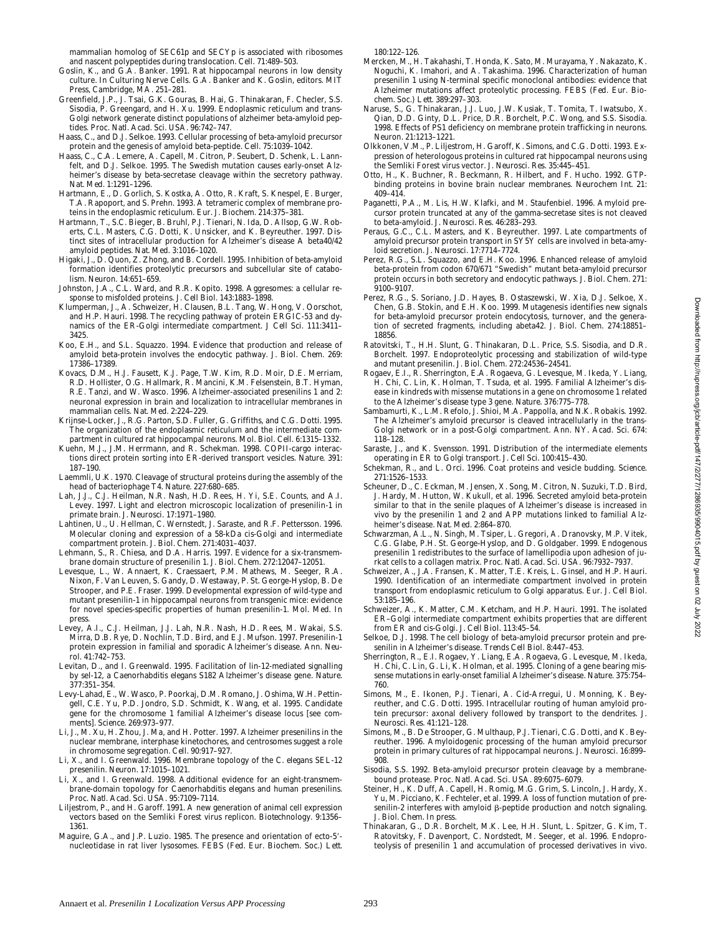- Goslin, K., and G.A. Banker. 1991. Rat hippocampal neurons in low density culture. *In* Culturing Nerve Cells. G.A. Banker and K. Goslin, editors. MIT Press, Cambridge, MA. 251–281.
- Greenfield, J.P., J. Tsai, G.K. Gouras, B. Hai, G. Thinakaran, F. Checler, S.S. Sisodia, P. Greengard, and H. Xu. 1999. Endoplasmic reticulum and trans-Golgi network generate distinct populations of alzheimer beta-amyloid peptides. *Proc. Natl. Acad. Sci. USA.* 96:742–747.
- Haass, C., and D.J. Selkoe. 1993. Cellular processing of beta-amyloid precursor protein and the genesis of amyloid beta-peptide. *Cell*. 75:1039–1042.
- Haass, C., C.A. Lemere, A. Capell, M. Citron, P. Seubert, D. Schenk, L. Lannfelt, and D.J. Selkoe. 1995. The Swedish mutation causes early-onset Alzheimer's disease by beta-secretase cleavage within the secretory pathway. *Nat. Med*. 1:1291–1296.
- Hartmann, E., D. Gorlich, S. Kostka, A. Otto, R. Kraft, S. Knespel, E. Burger, T.A. Rapoport, and S. Prehn. 1993. A tetrameric complex of membrane proteins in the endoplasmic reticulum. *Eur. J. Biochem.* 214:375–381.
- Hartmann, T., S.C. Bieger, B. Bruhl, P.J. Tienari, N. Ida, D. Allsop, G.W. Roberts, C.L. Masters, C.G. Dotti, K. Unsicker, and K. Beyreuther. 1997. Distinct sites of intracellular production for Alzheimer's disease A beta40/42 amyloid peptides. *Nat. Med.* 3:1016–1020.
- Higaki, J., D. Quon, Z. Zhong, and B. Cordell. 1995. Inhibition of beta-amyloid formation identifies proteolytic precursors and subcellular site of catabolism. *Neuron*. 14:651–659.
- Johnston, J.A., C.L. Ward, and R.R. Kopito. 1998. Aggresomes: a cellular response to misfolded proteins. *J. Cell Biol.* 143:1883–1898.
- Klumperman, J., A. Schweizer, H. Clausen, B.L. Tang, W. Hong, V. Oorschot, and H.P. Hauri. 1998. The recycling pathway of protein ERGIC-53 and dynamics of the ER-Golgi intermediate compartment. *J Cell Sci.* 111:3411– 3425.
- Koo, E.H., and S.L. Squazzo. 1994. Evidence that production and release of amyloid beta-protein involves the endocytic pathway. *J. Biol. Chem.* 269: 17386–17389.
- Kovacs, D.M., H.J. Fausett, K.J. Page, T.W. Kim, R.D. Moir, D.E. Merriam, R.D. Hollister, O.G. Hallmark, R. Mancini, K.M. Felsenstein, B.T. Hyman, R.E. Tanzi, and W. Wasco. 1996. Alzheimer-associated presenilins 1 and 2: neuronal expression in brain and localization to intracellular membranes in mammalian cells. *Nat. Med*. 2:224–229.
- Krijnse-Locker, J., R.G. Parton, S.D. Fuller, G. Griffiths, and C.G. Dotti. 1995. The organization of the endoplasmic reticulum and the intermediate compartment in cultured rat hippocampal neurons. *Mol. Biol. Cell.* 6:1315–1332.
- Kuehn, M.J., J.M. Herrmann, and R. Schekman. 1998. COPII-cargo interactions direct protein sorting into ER-derived transport vesicles. *Nature*. 391: 187–190.
- Laemmli, U.K. 1970. Cleavage of structural proteins during the assembly of the head of bacteriophage T4. *Nature*. 227:680–685.
- Lah, J.J., C.J. Heilman, N.R. Nash, H.D. Rees, H. Yi, S.E. Counts, and A.I. Levey. 1997. Light and electron microscopic localization of presenilin-1 in primate brain. *J. Neurosci.* 17:1971–1980.
- Lahtinen, U., U. Hellman, C. Wernstedt, J. Saraste, and R.F. Pettersson. 1996. Molecular cloning and expression of a 58-kDa cis-Golgi and intermediate compartment protein. *J. Biol. Chem.* 271:4031–4037.
- Lehmann, S., R. Chiesa, and D.A. Harris. 1997. Evidence for a six-transmembrane domain structure of presenilin 1. *J. Biol. Chem.* 272:12047–12051.
- Levesque, L., W. Annaert, K. Craessaert, P.M. Mathews, M. Seeger, R.A. Nixon, F. Van Leuven, S. Gandy, D. Westaway, P. St. George-Hyslop, B. De Strooper, and P.E. Fraser. 1999. Developmental expression of wild-type and mutant presenilin-1 in hippocampal neurons from transgenic mice: evidence for novel species-specific properties of human presenilin-1. *Mol. Med.* In press.
- Levey, A.I., C.J. Heilman, J.J. Lah, N.R. Nash, H.D. Rees, M. Wakai, S.S. Mirra, D.B. Rye, D. Nochlin, T.D. Bird, and E.J. Mufson. 1997. Presenilin-1 protein expression in familial and sporadic Alzheimer's disease. *Ann. Neurol*. 41:742–753.
- Levitan, D., and I. Greenwald. 1995. Facilitation of lin-12-mediated signalling by sel-12, a *Caenorhabditis elegans* S182 Alzheimer's disease gene. *Nature*. 377:351–354.
- Levy-Lahad, E., W. Wasco, P. Poorkaj, D.M. Romano, J. Oshima, W.H. Pettingell, C.E. Yu, P.D. Jondro, S.D. Schmidt, K. Wang, et al. 1995. Candidate gene for the chromosome 1 familial Alzheimer's disease locus [see comments]. *Science*. 269:973–977.
- Li, J., M. Xu, H. Zhou, J. Ma, and H. Potter. 1997. Alzheimer presenilins in the nuclear membrane, interphase kinetochores, and centrosomes suggest a role in chromosome segregation. *Cell*. 90:917–927.
- Li, X., and I. Greenwald. 1996. Membrane topology of the *C. elegans* SEL-12 presenilin. *Neuron*. 17:1015–1021.
- Li, X., and I. Greenwald. 1998. Additional evidence for an eight-transmembrane-domain topology for *Caenorhabditis elegans* and human presenilins. *Proc. Natl. Acad. Sci. USA.* 95:7109–7114.
- Liljestrom, P., and H. Garoff. 1991. A new generation of animal cell expression vectors based on the Semliki Forest virus replicon. *Biotechnology*. 9:1356– 1361.
- Maguire, G.A., and J.P. Luzio. 1985. The presence and orientation of ecto-5'nucleotidase in rat liver lysosomes. *FEBS (Fed. Eur. Biochem. Soc.) Lett*.

180:122–126.

- Mercken, M., H. Takahashi, T. Honda, K. Sato, M. Murayama, Y. Nakazato, K. Noguchi, K. Imahori, and A. Takashima. 1996. Characterization of human presenilin 1 using N-terminal specific monoclonal antibodies: evidence that Alzheimer mutations affect proteolytic processing. *FEBS (Fed. Eur. Biochem. Soc.) Lett*. 389:297–303.
- Naruse, S., G. Thinakaran, J.J. Luo, J.W. Kusiak, T. Tomita, T. Iwatsubo, X. Qian, D.D. Ginty, D.L. Price, D.R. Borchelt, P.C. Wong, and S.S. Sisodia. 1998. Effects of PS1 deficiency on membrane protein trafficking in neurons. *Neuron*. 21:1213–1221.
- Olkkonen, V.M., P. Liljestrom, H. Garoff, K. Simons, and C.G. Dotti. 1993. Expression of heterologous proteins in cultured rat hippocampal neurons using the Semliki Forest virus vector. *J. Neurosci. Res.* 35:445–451.
- Otto, H., K. Buchner, R. Beckmann, R. Hilbert, and F. Hucho. 1992. GTPbinding proteins in bovine brain nuclear membranes. *Neurochem Int*. 21: 409–414.
- Paganetti, P.A., M. Lis, H.W. Klafki, and M. Staufenbiel. 1996. Amyloid precursor protein truncated at any of the gamma-secretase sites is not cleaved to beta-amyloid. *J. Neurosci. Res.* 46:283–293.
- Peraus, G.C., C.L. Masters, and K. Beyreuther. 1997. Late compartments of amyloid precursor protein transport in SY5Y cells are involved in beta-amyloid secretion. *J. Neurosci.* 17:7714–7724.
- Perez, R.G., S.L. Squazzo, and E.H. Koo. 1996. Enhanced release of amyloid beta-protein from codon 670/671 "Swedish" mutant beta-amyloid precursor protein occurs in both secretory and endocytic pathways. *J. Biol. Chem.* 271: 9100–9107.
- Perez, R.G., S. Soriano, J.D. Hayes, B. Ostaszewski, W. Xia, D.J. Selkoe, X. Chen, G.B. Stokin, and E.H. Koo. 1999. Mutagenesis identifies new signals for beta-amyloid precursor protein endocytosis, turnover, and the generation of secreted fragments, including abeta42. *J. Biol. Chem.* 274:18851– 18856.
- Ratovitski, T., H.H. Slunt, G. Thinakaran, D.L. Price, S.S. Sisodia, and D.R. Borchelt. 1997. Endoproteolytic processing and stabilization of wild-type and mutant presenilin. *J. Biol. Chem.* 272:24536–24541.
- Rogaev, E.I., R. Sherrington, E.A. Rogaeva, G. Levesque, M. Ikeda, Y. Liang, H. Chi, C. Lin, K. Holman, T. Tsuda, et al. 1995. Familial Alzheimer's disease in kindreds with missense mutations in a gene on chromosome 1 related to the Alzheimer's disease type 3 gene. *Nature*. 376:775–778.
- Sambamurti, K., L.M. Refolo, J. Shioi, M.A. Pappolla, and N.K. Robakis. 1992. The Alzheimer's amyloid precursor is cleaved intracellularly in the trans-Golgi network or in a post-Golgi compartment. *Ann. NY. Acad. Sci*. 674: 118–128.
- Saraste, J., and K. Svensson. 1991. Distribution of the intermediate elements operating in ER to Golgi transport. *J. Cell Sci.* 100:415–430.
- Schekman, R., and L. Orci. 1996. Coat proteins and vesicle budding. *Science*. 271:1526–1533.
- Scheuner, D., C. Eckman, M. Jensen, X. Song, M. Citron, N. Suzuki, T.D. Bird, J. Hardy, M. Hutton, W. Kukull, et al. 1996. Secreted amyloid beta-protein similar to that in the senile plaques of Alzheimer's disease is increased in vivo by the presenilin 1 and 2 and APP mutations linked to familial Alzheimer's disease. *Nat. Med.* 2:864–870.
- Schwarzman, A.L., N. Singh, M. Tsiper, L. Gregori, A. Dranovsky, M.P. Vitek, C.G. Glabe, P.H. St. George-Hyslop, and D. Goldgaber. 1999. Endogenous presenilin 1 redistributes to the surface of lamellipodia upon adhesion of jurkat cells to a collagen matrix. *Proc. Natl. Acad. Sci. USA.* 96:7932–7937.
- Schweizer, A., J.A. Fransen, K. Matter, T.E. Kreis, L. Ginsel, and H.P. Hauri. 1990. Identification of an intermediate compartment involved in protein transport from endoplasmic reticulum to Golgi apparatus. *Eur. J. Cell Biol.* 53:185–196.
- Schweizer, A., K. Matter, C.M. Ketcham, and H.P. Hauri. 1991. The isolated ER–Golgi intermediate compartment exhibits properties that are different from ER and cis-Golgi. *J. Cell Biol.* 113:45–54.
- Selkoe, D.J. 1998. The cell biology of beta-amyloid precursor protein and presenilin in Alzheimer's disease. *Trends Cell Biol*. 8:447–453.
- Sherrington, R., E.I. Rogaev, Y. Liang, E.A. Rogaeva, G. Levesque, M. Ikeda, H. Chi, C. Lin, G. Li, K. Holman, et al. 1995. Cloning of a gene bearing missense mutations in early-onset familial Alzheimer's disease. *Nature*. 375:754– 760.
- Simons, M., E. Ikonen, P.J. Tienari, A. Cid-Arregui, U. Monning, K. Beyreuther, and C.G. Dotti. 1995. Intracellular routing of human amyloid protein precursor: axonal delivery followed by transport to the dendrites. *J. Neurosci. Res.* 41:121–128.
- Simons, M., B. De Strooper, G. Multhaup, P.J. Tienari, C.G. Dotti, and K. Beyreuther. 1996. Amyloidogenic processing of the human amyloid precursor protein in primary cultures of rat hippocampal neurons. *J. Neurosci.* 16:899– 908.
- Sisodia, S.S. 1992. Beta-amyloid precursor protein cleavage by a membranebound protease. *Proc. Natl. Acad. Sci. USA.* 89:6075–6079.
- Steiner, H., K. Duff, A. Capell, H. Romig, M.G. Grim, S. Lincoln, J. Hardy, X. Yu, M. Picciano, K. Fechteler, et al. 1999. A loss of function mutation of presenilin-2 interferes with amyloid  $\upbeta$ -peptide production and notch signaling. *J. Biol. Chem.* In press.
- Thinakaran, G., D.R. Borchelt, M.K. Lee, H.H. Slunt, L. Spitzer, G. Kim, T. Ratovitsky, F. Davenport, C. Nordstedt, M. Seeger, et al. 1996. Endoproteolysis of presenilin 1 and accumulation of processed derivatives in vivo.